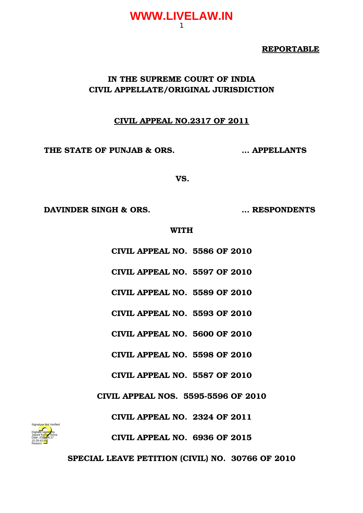#### **REPORTABLE**

### **IN THE SUPREME COURT OF INDIA CIVIL APPELLATE/ORIGINAL JURISDICTION**

### **CIVIL APPEAL NO.2317 OF 2011**

**THE STATE OF PUNJAB & ORS. … APPELLANTS**

**VS.**

**DAVINDER SINGH & ORS. … RESPONDENTS**

#### **WITH**

**CIVIL APPEAL NO. 5586 OF 2010**

**CIVIL APPEAL NO. 5597 OF 2010**

**CIVIL APPEAL NO. 5589 OF 2010**

**CIVIL APPEAL NO. 5593 OF 2010**

**CIVIL APPEAL NO. 5600 OF 2010**

**CIVIL APPEAL NO. 5598 OF 2010**

**CIVIL APPEAL NO. 5587 OF 2010**

**CIVIL APPEAL NOS. 5595-5596 OF 2010** 

**CIVIL APPEAL NO. 2324 OF 2011**



**SPECIAL LEAVE PETITION (CIVIL) NO. 30766 OF 2010**

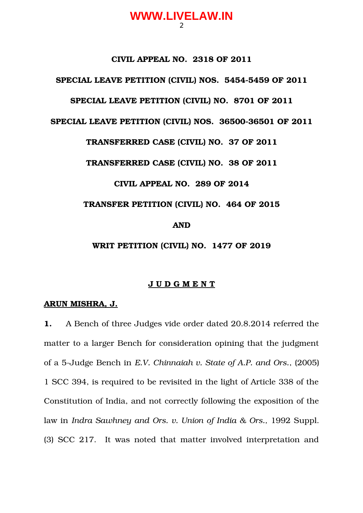#### **CIVIL APPEAL NO. 2318 OF 2011**

#### SPECIAL LEAVE PETITION (CIVIL) NOS. 5454-5459 OF 2011

#### **SPECIAL LEAVE PETITION (CIVIL) NO. 8701 OF 2011**

#### **SPECIAL LEAVE PETITION (CIVIL) NOS. 36500-36501 OF 2011**

#### **TRANSFERRED CASE (CIVIL) NO. 37 OF 2011**

**TRANSFERRED CASE (CIVIL) NO. 38 OF 2011**

#### **CIVIL APPEAL NO. 289 OF 2014**

#### **TRANSFER PETITION (CIVIL) NO. 464 OF 2015**

#### **AND**

# **WRIT PETITION (CIVIL) NO. 1477 OF 2019**

#### **J U D G M E N T**

#### **ARUN MISHRA, J.**

**1.** A Bench of three Judges vide order dated 20.8.2014 referred the matter to a larger Bench for consideration opining that the judgment of a 5Judge Bench in *E.V. Chinnaiah v. State of A.P. and Ors.*, (2005) 1 SCC 394, is required to be revisited in the light of Article 338 of the Constitution of India, and not correctly following the exposition of the law in *Indra Sawhney and Ors. v. Union of India & Ors.,* 1992 Suppl. (3) SCC 217. It was noted that matter involved interpretation and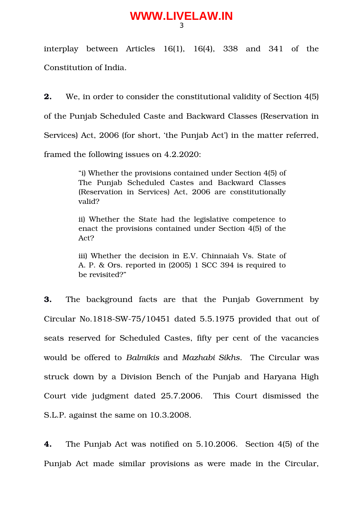interplay between Articles  $16(1)$ ,  $16(4)$ ,  $338$  and  $341$  of the Constitution of India.

**2.** We, in order to consider the constitutional validity of Section 4(5) of the Punjab Scheduled Caste and Backward Classes (Reservation in Services) Act, 2006 (for short, 'the Punjab Act') in the matter referred, framed the following issues on 4.2.2020:

> "i) Whether the provisions contained under Section 4(5) of The Punjab Scheduled Castes and Backward Classes (Reservation in Services) Act, 2006 are constitutionally valid?

> ii) Whether the State had the legislative competence to enact the provisions contained under Section 4(5) of the Act?

> iii) Whether the decision in E.V. Chinnaiah Vs. State of A. P. & Ors. reported in (2005) 1 SCC 394 is required to be revisited?"

**3.** The background facts are that the Punjab Government by Circular No.1818-SW-75/10451 dated 5.5.1975 provided that out of seats reserved for Scheduled Castes, fifty per cent of the vacancies would be offered to *Balmikis* and *Mazhabi Sikhs*. The Circular was struck down by a Division Bench of the Punjab and Haryana High Court vide judgment dated 25.7.2006. This Court dismissed the S.L.P. against the same on 10.3.2008.

**4.** The Punjab Act was notified on 5.10.2006. Section 4(5) of the Punjab Act made similar provisions as were made in the Circular,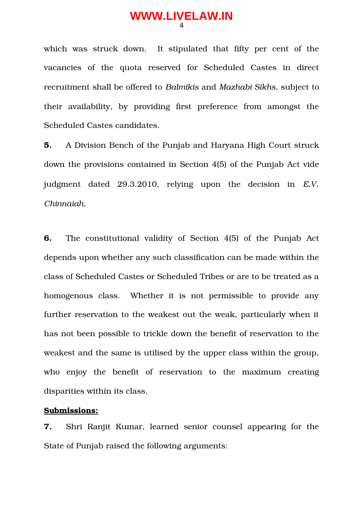which was struck down. It stipulated that fifty per cent of the vacancies of the quota reserved for Scheduled Castes in direct recruitment shall be offered to *Balmikis* and *Mazhabi Sikhs,* subject to their availability, by providing first preference from amongst the Scheduled Castes candidates.

**5.** A Division Bench of the Punjab and Haryana High Court struck down the provisions contained in Section 4(5) of the Punjab Act vide judgment dated 29.3.2010, relying upon the decision in *E.V. Chinnaiah.*

**6.** The constitutional validity of Section 4(5) of the Punjab Act depends upon whether any such classification can be made within the class of Scheduled Castes or Scheduled Tribes or are to be treated as a homogenous class. Whether it is not permissible to provide any further reservation to the weakest out the weak, particularly when it has not been possible to trickle down the benefit of reservation to the weakest and the same is utilised by the upper class within the group, who enjoy the benefit of reservation to the maximum creating disparities within its class.

#### **Submissions:**

**7.** Shri Ranjit Kumar, learned senior counsel appearing for the State of Punjab raised the following arguments: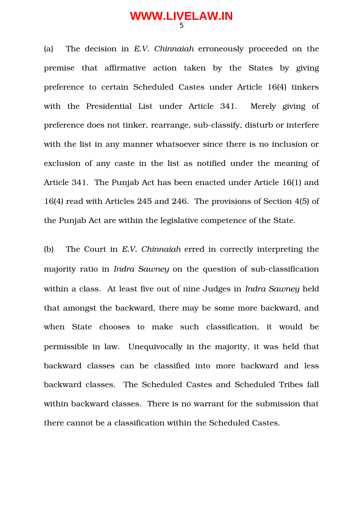(a) The decision in *E.V. Chinnaiah* erroneously proceeded on the premise that affirmative action taken by the States by giving preference to certain Scheduled Castes under Article 16(4) tinkers with the Presidential List under Article 341. Merely giving of preference does not tinker, rearrange, sub-classify, disturb or interfere with the list in any manner whatsoever since there is no inclusion or exclusion of any caste in the list as notified under the meaning of Article 341. The Punjab Act has been enacted under Article 16(1) and 16(4) read with Articles 245 and 246. The provisions of Section 4(5) of the Punjab Act are within the legislative competence of the State.

(b) The Court in *E.V. Chinnaiah* erred in correctly interpreting the majority ratio in *Indra Sawney* on the question of sub-classification within a class. At least five out of nine Judges in *Indra Sawney* held that amongst the backward, there may be some more backward, and when State chooses to make such classification, it would be permissible in law. Unequivocally in the majority*,* it was held that backward classes can be classified into more backward and less backward classes. The Scheduled Castes and Scheduled Tribes fall within backward classes. There is no warrant for the submission that there cannot be a classification within the Scheduled Castes.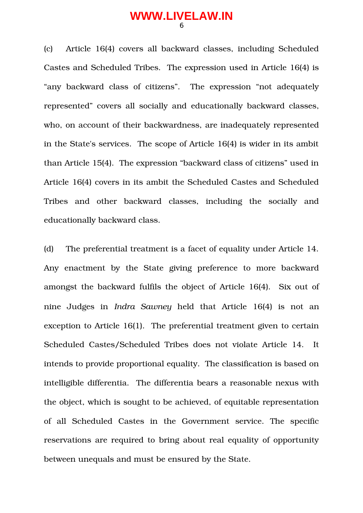(c) Article 16(4) covers all backward classes, including Scheduled Castes and Scheduled Tribes. The expression used in Article 16(4) is "any backward class of citizens". The expression "not adequately represented" covers all socially and educationally backward classes, who, on account of their backwardness, are inadequately represented in the State's services. The scope of Article 16(4) is wider in its ambit than Article 15(4). The expression "backward class of citizens" used in Article 16(4) covers in its ambit the Scheduled Castes and Scheduled Tribes and other backward classes, including the socially and educationally backward class.

(d) The preferential treatment is a facet of equality under Article 14. Any enactment by the State giving preference to more backward amongst the backward fulfils the object of Article 16(4). Six out of nine Judges in *Indra Sawney* held that Article 16(4) is not an exception to Article 16(1). The preferential treatment given to certain Scheduled Castes/Scheduled Tribes does not violate Article 14. It intends to provide proportional equality. The classification is based on intelligible differentia. The differentia bears a reasonable nexus with the object, which is sought to be achieved, of equitable representation of all Scheduled Castes in the Government service. The specific reservations are required to bring about real equality of opportunity between unequals and must be ensured by the State.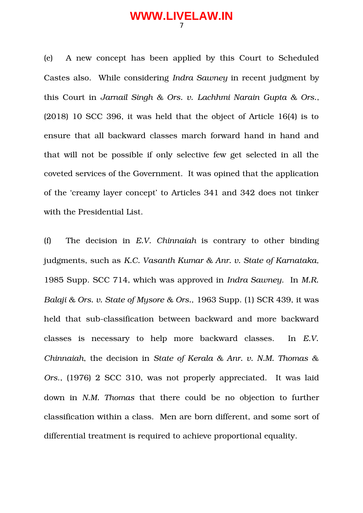(e) A new concept has been applied by this Court to Scheduled Castes also. While considering *Indra Sawney* in recent judgment by this Court in *Jarnail Singh & Ors. v. Lachhmi Narain Gupta & Ors.*, (2018) 10 SCC 396, it was held that the object of Article 16(4) is to ensure that all backward classes march forward hand in hand and that will not be possible if only selective few get selected in all the coveted services of the Government. It was opined that the application of the 'creamy layer concept' to Articles 341 and 342 does not tinker with the Presidential List.

(f) The decision in *E.V. Chinnaiah* is contrary to other binding judgments, such as *K.C. Vasanth Kumar & Anr. v. State of Karnataka,* 1985 Supp. SCC 714, which was approved in *Indra Sawney*. In *M.R. Balaji & Ors. v. State of Mysore & Ors.,* 1963 Supp. (1) SCR 439, it was held that sub-classification between backward and more backward classes is necessary to help more backward classes. In *E.V. Chinnaiah*, the decision in *State of Kerala & Anr. v. N.M. Thomas & Ors*., (1976) 2 SCC 310, was not properly appreciated. It was laid down in *N.M. Thomas* that there could be no objection to further classification within a class. Men are born different, and some sort of differential treatment is required to achieve proportional equality.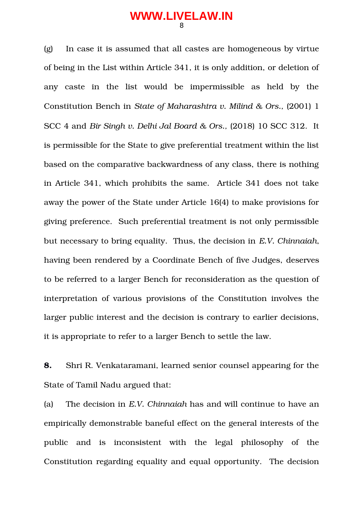(g) In case it is assumed that all castes are homogeneous by virtue of being in the List within Article 341, it is only addition, or deletion of any caste in the list would be impermissible as held by the Constitution Bench in *State of Maharashtra v. Milind & Ors.,* (2001) 1 SCC 4 and *Bir Singh v. Delhi Jal Board & Ors.,* (2018) 10 SCC 312. It is permissible for the State to give preferential treatment within the list based on the comparative backwardness of any class, there is nothing in Article 341, which prohibits the same. Article 341 does not take away the power of the State under Article 16(4) to make provisions for giving preference. Such preferential treatment is not only permissible but necessary to bring equality. Thus, the decision in *E.V. Chinnaiah*, having been rendered by a Coordinate Bench of five Judges, deserves to be referred to a larger Bench for reconsideration as the question of interpretation of various provisions of the Constitution involves the larger public interest and the decision is contrary to earlier decisions, it is appropriate to refer to a larger Bench to settle the law.

**8.** Shri R. Venkataramani, learned senior counsel appearing for the State of Tamil Nadu argued that:

(a) The decision in *E.V. Chinnaiah* has and will continue to have an empirically demonstrable baneful effect on the general interests of the public and is inconsistent with the legal philosophy of the Constitution regarding equality and equal opportunity. The decision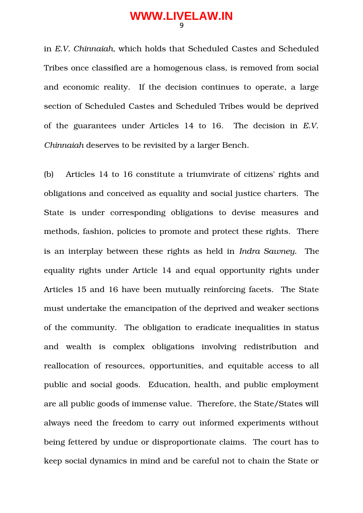in *E.V. Chinnaiah*, which holds that Scheduled Castes and Scheduled Tribes once classified are a homogenous class, is removed from social and economic reality. If the decision continues to operate, a large section of Scheduled Castes and Scheduled Tribes would be deprived of the guarantees under Articles 14 to 16. The decision in *E.V. Chinnaiah* deserves to be revisited by a larger Bench.

(b) Articles 14 to 16 constitute a triumvirate of citizens' rights and obligations and conceived as equality and social justice charters. The State is under corresponding obligations to devise measures and methods, fashion, policies to promote and protect these rights. There is an interplay between these rights as held in *Indra Sawney.* The equality rights under Article 14 and equal opportunity rights under Articles 15 and 16 have been mutually reinforcing facets. The State must undertake the emancipation of the deprived and weaker sections of the community. The obligation to eradicate inequalities in status and wealth is complex obligations involving redistribution and reallocation of resources, opportunities, and equitable access to all public and social goods. Education, health, and public employment are all public goods of immense value. Therefore, the State/States will always need the freedom to carry out informed experiments without being fettered by undue or disproportionate claims. The court has to keep social dynamics in mind and be careful not to chain the State or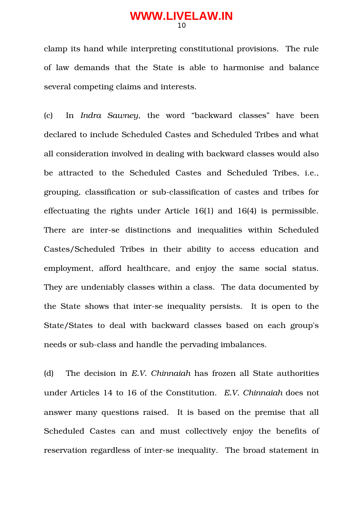clamp its hand while interpreting constitutional provisions. The rule of law demands that the State is able to harmonise and balance several competing claims and interests.

(c) In *Indra Sawney*, the word "backward classes" have been declared to include Scheduled Castes and Scheduled Tribes and what all consideration involved in dealing with backward classes would also be attracted to the Scheduled Castes and Scheduled Tribes, i.e., grouping, classification or sub-classification of castes and tribes for effectuating the rights under Article 16(1) and 16(4) is permissible. There are inter-se distinctions and inequalities within Scheduled Castes/Scheduled Tribes in their ability to access education and employment, afford healthcare, and enjoy the same social status. They are undeniably classes within a class. The data documented by the State shows that inter-se inequality persists. It is open to the State/States to deal with backward classes based on each group's needs or sub-class and handle the pervading imbalances.

(d) The decision in *E.V. Chinnaiah* has frozen all State authorities under Articles 14 to 16 of the Constitution. *E.V. Chinnaiah* does not answer many questions raised. It is based on the premise that all Scheduled Castes can and must collectively enjoy the benefits of reservation regardless of inter-se inequality. The broad statement in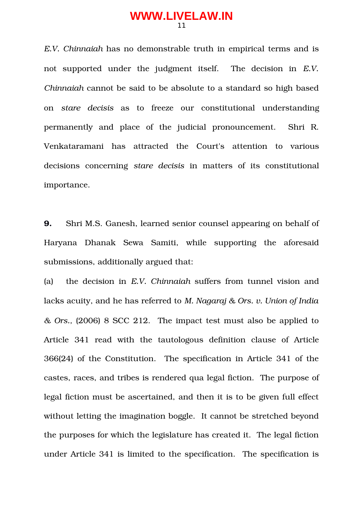*E.V. Chinnaiah* has no demonstrable truth in empirical terms and is not supported under the judgment itself. The decision in *E.V. Chinnaiah* cannot be said to be absolute to a standard so high based on *stare decisis* as to freeze our constitutional understanding permanently and place of the judicial pronouncement. Shri R. Venkataramani has attracted the Court's attention to various decisions concerning *stare decisis* in matters of its constitutional importance.

**9.** Shri M.S. Ganesh, learned senior counsel appearing on behalf of Haryana Dhanak Sewa Samiti, while supporting the aforesaid submissions, additionally argued that:

(a) the decision in *E.V. Chinnaiah* suffers from tunnel vision and lacks acuity, and he has referred to *M. Nagaraj & Ors. v. Union of India & Ors.,* (2006) 8 SCC 212. The impact test must also be applied to Article 341 read with the tautologous definition clause of Article 366(24) of the Constitution. The specification in Article 341 of the castes, races, and tribes is rendered qua legal fiction. The purpose of legal fiction must be ascertained, and then it is to be given full effect without letting the imagination boggle. It cannot be stretched beyond the purposes for which the legislature has created it. The legal fiction under Article 341 is limited to the specification. The specification is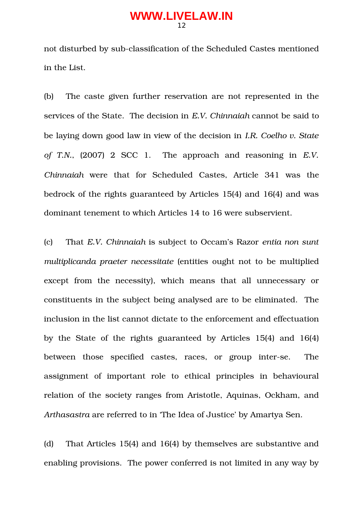not disturbed by sub-classification of the Scheduled Castes mentioned in the List.

(b) The caste given further reservation are not represented in the services of the State. The decision in *E.V. Chinnaiah* cannot be said to be laying down good law in view of the decision in *I.R. Coelho v. State of T.N.*, (2007) 2 SCC 1. The approach and reasoning in *E.V. Chinnaiah* were that for Scheduled Castes, Article 341 was the bedrock of the rights guaranteed by Articles 15(4) and 16(4) and was dominant tenement to which Articles 14 to 16 were subservient.

(c) That *E.V. Chinnaiah* is subject to Occam's Razor *entia non sunt multiplicanda praeter necessitate* (entities ought not to be multiplied except from the necessity), which means that all unnecessary or constituents in the subject being analysed are to be eliminated. The inclusion in the list cannot dictate to the enforcement and effectuation by the State of the rights guaranteed by Articles 15(4) and 16(4) between those specified castes, races, or group inter-se. The assignment of important role to ethical principles in behavioural relation of the society ranges from Aristotle, Aquinas, Ockham, and *Arthasastra* are referred to in 'The Idea of Justice' by Amartya Sen.

(d) That Articles 15(4) and 16(4) by themselves are substantive and enabling provisions. The power conferred is not limited in any way by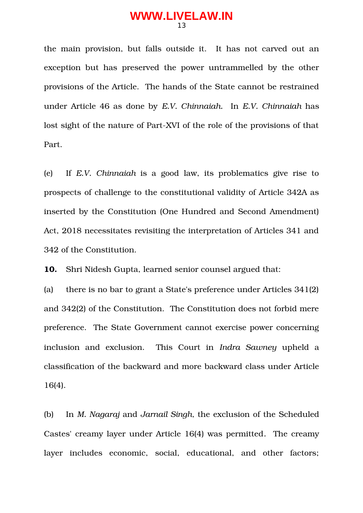the main provision, but falls outside it. It has not carved out an exception but has preserved the power untrammelled by the other provisions of the Article. The hands of the State cannot be restrained under Article 46 as done by *E.V. Chinnaiah.* In *E.V. Chinnaiah* has lost sight of the nature of Part-XVI of the role of the provisions of that Part.

(e) If *E.V. Chinnaiah* is a good law, its problematics give rise to prospects of challenge to the constitutional validity of Article 342A as inserted by the Constitution (One Hundred and Second Amendment) Act, 2018 necessitates revisiting the interpretation of Articles 341 and 342 of the Constitution.

**10.** Shri Nidesh Gupta, learned senior counsel argued that:

(a) there is no bar to grant a State's preference under Articles 341(2) and 342(2) of the Constitution. The Constitution does not forbid mere preference. The State Government cannot exercise power concerning inclusion and exclusion. This Court in *Indra Sawney* upheld a classification of the backward and more backward class under Article 16(4).

(b) In *M. Nagaraj* and *Jarnail Singh,* the exclusion of the Scheduled Castes' creamy layer under Article 16(4) was permitted*.* The creamy layer includes economic, social, educational, and other factors;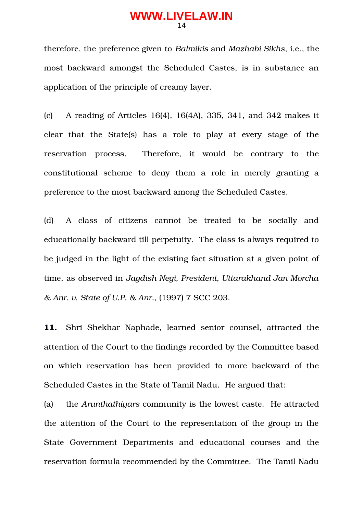therefore, the preference given to *Balmikis* and *Mazhabi Sikhs*, i.e., the most backward amongst the Scheduled Castes, is in substance an application of the principle of creamy layer.

(c) A reading of Articles 16(4), 16(4A), 335, 341, and 342 makes it clear that the State(s) has a role to play at every stage of the reservation process. Therefore, it would be contrary to the constitutional scheme to deny them a role in merely granting a preference to the most backward among the Scheduled Castes.

(d) A class of citizens cannot be treated to be socially and educationally backward till perpetuity. The class is always required to be judged in the light of the existing fact situation at a given point of time, as observed in *Jagdish Negi, President, Uttarakhand Jan Morcha & Anr. v. State of U.P. & Anr.,* (1997) 7 SCC 203.

**11.** Shri Shekhar Naphade, learned senior counsel, attracted the attention of the Court to the findings recorded by the Committee based on which reservation has been provided to more backward of the Scheduled Castes in the State of Tamil Nadu. He argued that:

(a) the *Arunthathiyars* community is the lowest caste. He attracted the attention of the Court to the representation of the group in the State Government Departments and educational courses and the reservation formula recommended by the Committee. The Tamil Nadu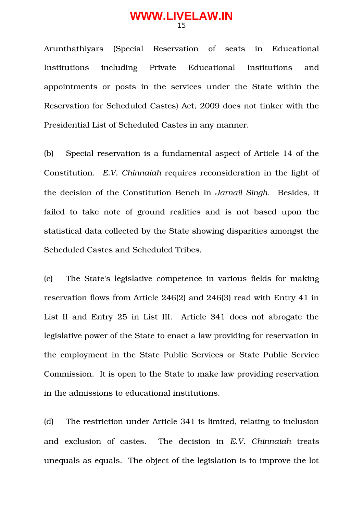Arunthathiyars (Special Reservation of seats in Educational Institutions including Private Educational Institutions and appointments or posts in the services under the State within the Reservation for Scheduled Castes) Act, 2009 does not tinker with the Presidential List of Scheduled Castes in any manner.

(b) Special reservation is a fundamental aspect of Article 14 of the Constitution. *E.V. Chinnaiah* requires reconsideration in the light of the decision of the Constitution Bench in *Jarnail Singh*. Besides, it failed to take note of ground realities and is not based upon the statistical data collected by the State showing disparities amongst the Scheduled Castes and Scheduled Tribes.

(c) The State's legislative competence in various fields for making reservation flows from Article 246(2) and 246(3) read with Entry 41 in List II and Entry 25 in List III. Article 341 does not abrogate the legislative power of the State to enact a law providing for reservation in the employment in the State Public Services or State Public Service Commission. It is open to the State to make law providing reservation in the admissions to educational institutions.

(d) The restriction under Article 341 is limited, relating to inclusion and exclusion of castes. The decision in *E.V. Chinnaiah* treats unequals as equals. The object of the legislation is to improve the lot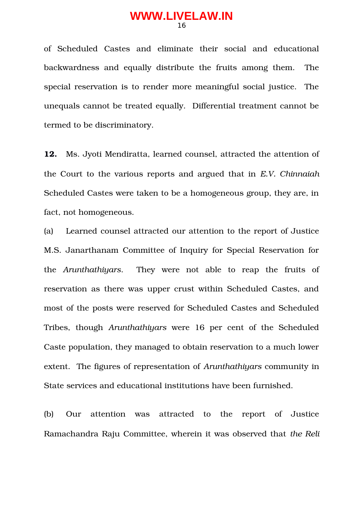of Scheduled Castes and eliminate their social and educational backwardness and equally distribute the fruits among them. The special reservation is to render more meaningful social justice. The unequals cannot be treated equally. Differential treatment cannot be termed to be discriminatory.

**12.** Ms. Jyoti Mendiratta, learned counsel, attracted the attention of the Court to the various reports and argued that in *E.V. Chinnaiah* Scheduled Castes were taken to be a homogeneous group, they are, in fact, not homogeneous.

(a) Learned counsel attracted our attention to the report of Justice M.S. Janarthanam Committee of Inquiry for Special Reservation for the *Arunthathiyars*. They were not able to reap the fruits of reservation as there was upper crust within Scheduled Castes, and most of the posts were reserved for Scheduled Castes and Scheduled Tribes, though *Arunthathiyars* were 16 per cent of the Scheduled Caste population, they managed to obtain reservation to a much lower extent. The figures of representation of *Arunthathiyars* community in State services and educational institutions have been furnished.

(b) Our attention was attracted to the report of Justice Ramachandra Raju Committee, wherein it was observed that *the Reli*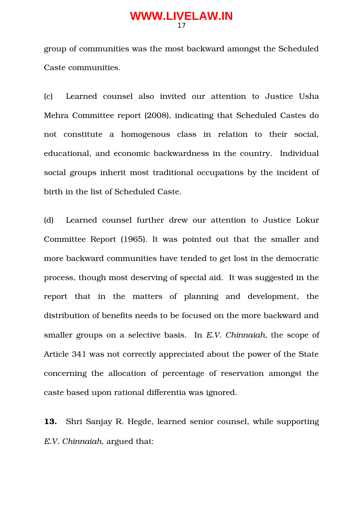group of communities was the most backward amongst the Scheduled Caste communities.

(c) Learned counsel also invited our attention to Justice Usha Mehra Committee report (2008), indicating that Scheduled Castes do not constitute a homogenous class in relation to their social, educational, and economic backwardness in the country. Individual social groups inherit most traditional occupations by the incident of birth in the list of Scheduled Caste.

(d) Learned counsel further drew our attention to Justice Lokur Committee Report (1965). It was pointed out that the smaller and more backward communities have tended to get lost in the democratic process, though most deserving of special aid. It was suggested in the report that in the matters of planning and development, the distribution of benefits needs to be focused on the more backward and smaller groups on a selective basis. In *E.V. Chinnaiah,* the scope of Article 341 was not correctly appreciated about the power of the State concerning the allocation of percentage of reservation amongst the caste based upon rational differentia was ignored.

**13.** Shri Sanjay R. Hegde, learned senior counsel, while supporting *E.V. Chinnaiah,* argued that: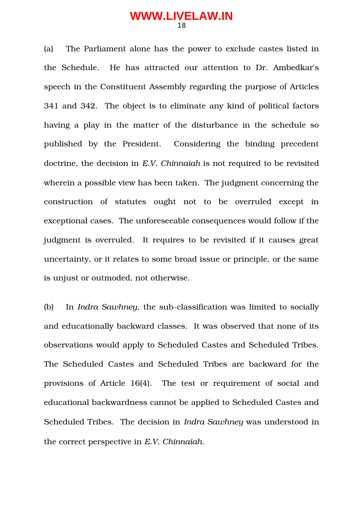(a) The Parliament alone has the power to exclude castes listed in the Schedule. He has attracted our attention to Dr. Ambedkar's speech in the Constituent Assembly regarding the purpose of Articles 341 and 342. The object is to eliminate any kind of political factors having a play in the matter of the disturbance in the schedule so published by the President. Considering the binding precedent doctrine, the decision in *E.V. Chinnaiah* is not required to be revisited wherein a possible view has been taken. The judgment concerning the construction of statutes ought not to be overruled except in exceptional cases. The unforeseeable consequences would follow if the judgment is overruled. It requires to be revisited if it causes great uncertainty, or it relates to some broad issue or principle, or the same is unjust or outmoded, not otherwise.

(b) In *Indra Sawhney*, the sub-classification was limited to socially and educationally backward classes. It was observed that none of its observations would apply to Scheduled Castes and Scheduled Tribes. The Scheduled Castes and Scheduled Tribes are backward for the provisions of Article 16(4). The test or requirement of social and educational backwardness cannot be applied to Scheduled Castes and Scheduled Tribes. The decision in *Indra Sawhney* was understood in the correct perspective in *E.V. Chinnaiah*.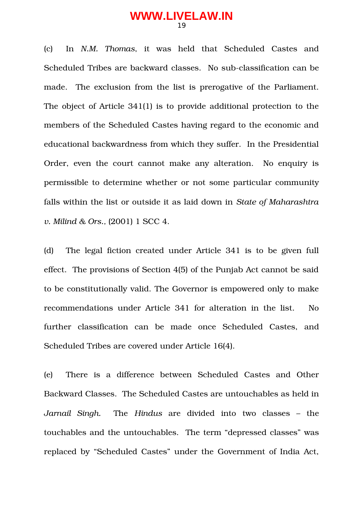(c) In *N.M. Thomas*, it was held that Scheduled Castes and Scheduled Tribes are backward classes. No sub-classification can be made. The exclusion from the list is prerogative of the Parliament. The object of Article 341(1) is to provide additional protection to the members of the Scheduled Castes having regard to the economic and educational backwardness from which they suffer. In the Presidential Order, even the court cannot make any alteration. No enquiry is permissible to determine whether or not some particular community falls within the list or outside it as laid down in *State of Maharashtra v. Milind & Ors.,* (2001) 1 SCC 4.

(d) The legal fiction created under Article 341 is to be given full effect. The provisions of Section 4(5) of the Punjab Act cannot be said to be constitutionally valid. The Governor is empowered only to make recommendations under Article 341 for alteration in the list. No further classification can be made once Scheduled Castes, and Scheduled Tribes are covered under Article 16(4).

(e) There is a difference between Scheduled Castes and Other Backward Classes. The Scheduled Castes are untouchables as held in *Jarnail Singh.* The *Hindus* are divided into two classes – the touchables and the untouchables. The term "depressed classes" was replaced by "Scheduled Castes" under the Government of India Act,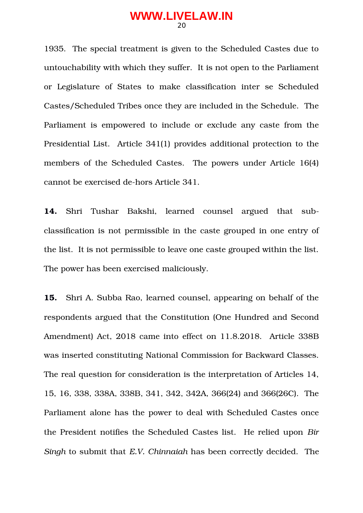1935. The special treatment is given to the Scheduled Castes due to untouchability with which they suffer. It is not open to the Parliament or Legislature of States to make classification inter se Scheduled Castes/Scheduled Tribes once they are included in the Schedule. The Parliament is empowered to include or exclude any caste from the Presidential List. Article 341(1) provides additional protection to the members of the Scheduled Castes. The powers under Article 16(4) cannot be exercised dehors Article 341.

14. Shri Tushar Bakshi, learned counsel argued that subclassification is not permissible in the caste grouped in one entry of the list. It is not permissible to leave one caste grouped within the list. The power has been exercised maliciously.

**15.** Shri A. Subba Rao, learned counsel, appearing on behalf of the respondents argued that the Constitution (One Hundred and Second Amendment) Act, 2018 came into effect on 11.8.2018. Article 338B was inserted constituting National Commission for Backward Classes. The real question for consideration is the interpretation of Articles 14, 15, 16, 338, 338A, 338B, 341, 342, 342A, 366(24) and 366(26C). The Parliament alone has the power to deal with Scheduled Castes once the President notifies the Scheduled Castes list. He relied upon *Bir Singh* to submit that *E.V. Chinnaiah* has been correctly decided. The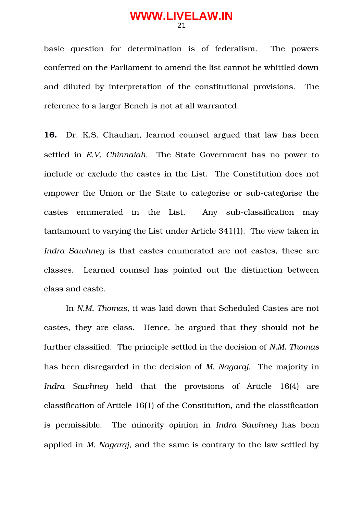basic question for determination is of federalism. The powers conferred on the Parliament to amend the list cannot be whittled down and diluted by interpretation of the constitutional provisions. The reference to a larger Bench is not at all warranted.

**16.** Dr. K.S. Chauhan, learned counsel argued that law has been settled in *E.V. Chinnaiah.* The State Government has no power to include or exclude the castes in the List. The Constitution does not empower the Union or the State to categorise or sub-categorise the castes enumerated in the List. Any sub-classification may tantamount to varying the List under Article 341(1). The view taken in *Indra Sawhney* is that castes enumerated are not castes, these are classes. Learned counsel has pointed out the distinction between class and caste.

In *N.M. Thomas,* it was laid down that Scheduled Castes are not castes, they are class. Hence, he argued that they should not be further classified. The principle settled in the decision of *N.M. Thomas* has been disregarded in the decision of *M. Nagaraj.* The majority in *Indra Sawhney* held that the provisions of Article 16(4) are classification of Article 16(1) of the Constitution, and the classification is permissible. The minority opinion in *Indra Sawhney* has been applied in *M. Nagaraj*, and the same is contrary to the law settled by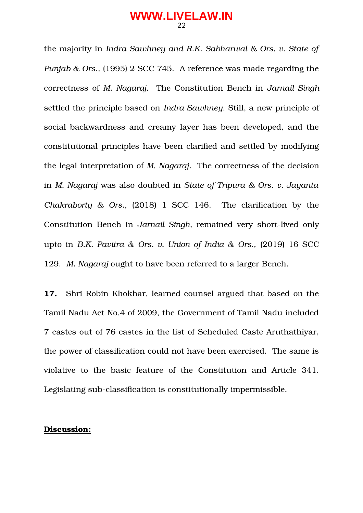the majority in *Indra Sawhney and R.K. Sabharwal & Ors. v. State of Punjab & Ors.,* (1995) 2 SCC 745. A reference was made regarding the correctness of *M. Nagaraj.* The Constitution Bench in *Jarnail Singh* settled the principle based on *Indra Sawhney*. Still, a new principle of social backwardness and creamy layer has been developed, and the constitutional principles have been clarified and settled by modifying the legal interpretation of *M. Nagaraj.* The correctness of the decision in *M. Nagaraj* was also doubted in *State of Tripura & Ors. v. Jayanta Chakraborty & Ors.,* (2018) 1 SCC 146. The clarification by the Constitution Bench in *Jarnail Singh*, remained very short-lived only upto in *B.K. Pavitra & Ors. v. Union of India & Ors.,* (2019) 16 SCC 129. *M. Nagaraj* ought to have been referred to a larger Bench.

**17.** Shri Robin Khokhar, learned counsel argued that based on the Tamil Nadu Act No.4 of 2009, the Government of Tamil Nadu included 7 castes out of 76 castes in the list of Scheduled Caste Aruthathiyar, the power of classification could not have been exercised. The same is violative to the basic feature of the Constitution and Article 341. Legislating sub-classification is constitutionally impermissible.

#### **Discussion:**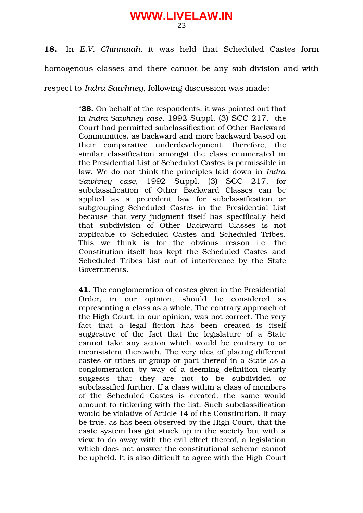**18.** In *E.V. Chinnaiah,* it was held that Scheduled Castes form homogenous classes and there cannot be any sub-division and with

respect to *Indra Sawhney,* following discussion was made:

"**38.** On behalf of the respondents, it was pointed out that in *Indra Sawhney case*, 1992 Suppl. (3) SCC 217,the Court had permitted subclassification of Other Backward Communities, as backward and more backward based on their comparative underdevelopment, therefore, the similar classification amongst the class enumerated in the Presidential List of Scheduled Castes is permissible in law. We do not think the principles laid down in *Indra Sawhney case*, 1992 Suppl. (3) SCC 217*,* for subclassification of Other Backward Classes can be applied as a precedent law for subclassification or subgrouping Scheduled Castes in the Presidential List because that very judgment itself has specifically held that subdivision of Other Backward Classes is not applicable to Scheduled Castes and Scheduled Tribes. This we think is for the obvious reason i.e. the Constitution itself has kept the Scheduled Castes and Scheduled Tribes List out of interference by the State Governments.

**41.** The conglomeration of castes given in the Presidential Order, in our opinion, should be considered as representing a class as a whole. The contrary approach of the High Court, in our opinion, was not correct. The very fact that a legal fiction has been created is itself suggestive of the fact that the legislature of a State cannot take any action which would be contrary to or inconsistent therewith. The very idea of placing different castes or tribes or group or part thereof in a State as a conglomeration by way of a deeming definition clearly suggests that they are not to be subdivided or subclassified further. If a class within a class of members of the Scheduled Castes is created, the same would amount to tinkering with the list. Such subclassification would be violative of Article 14 of the Constitution. It may be true, as has been observed by the High Court, that the caste system has got stuck up in the society but with a view to do away with the evil effect thereof, a legislation which does not answer the constitutional scheme cannot be upheld. It is also difficult to agree with the High Court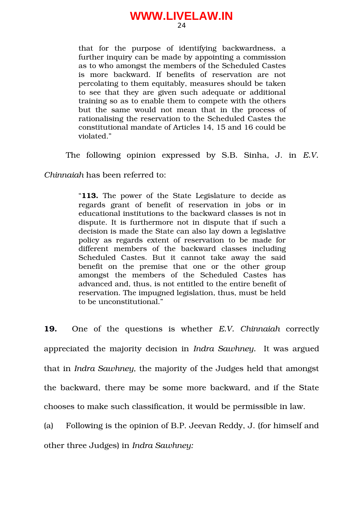that for the purpose of identifying backwardness, a further inquiry can be made by appointing a commission as to who amongst the members of the Scheduled Castes is more backward. If benefits of reservation are not percolating to them equitably, measures should be taken to see that they are given such adequate or additional training so as to enable them to compete with the others but the same would not mean that in the process of rationalising the reservation to the Scheduled Castes the constitutional mandate of Articles 14, 15 and 16 could be violated."

The following opinion expressed by S.B. Sinha, J. in E.V.

*Chinnaiah* has been referred to:

"**113.** The power of the State Legislature to decide as regards grant of benefit of reservation in jobs or in educational institutions to the backward classes is not in dispute. It is furthermore not in dispute that if such a decision is made the State can also lay down a legislative policy as regards extent of reservation to be made for different members of the backward classes including Scheduled Castes. But it cannot take away the said benefit on the premise that one or the other group amongst the members of the Scheduled Castes has advanced and, thus, is not entitled to the entire benefit of reservation. The impugned legislation, thus, must be held to be unconstitutional."

**19.** One of the questions is whether *E.V.* Chinnaiah correctly appreciated the majority decision in *Indra Sawhney.* It was argued that in *Indra Sawhney,* the majority of the Judges held that amongst the backward, there may be some more backward, and if the State chooses to make such classification, it would be permissible in law.

(a) Following is the opinion of B.P. Jeevan Reddy, J. (for himself and other three Judges) in *Indra Sawhney:*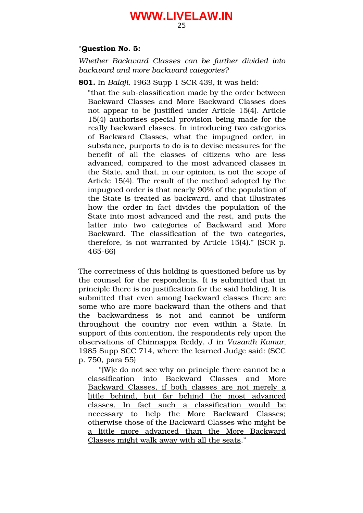#### "**Question No. 5:**

*Whether Backward Classes can be further divided into backward and more backward categories?*

**801.** In *Balaji,* 1963 Supp 1 SCR 439, it was held:

"that the sub-classification made by the order between Backward Classes and More Backward Classes does not appear to be justified under Article 15(4). Article 15(4) authorises special provision being made for the really backward classes. In introducing two categories of Backward Classes, what the impugned order, in substance, purports to do is to devise measures for the benefit of all the classes of citizens who are less advanced, compared to the most advanced classes in the State, and that, in our opinion, is not the scope of Article 15(4). The result of the method adopted by the impugned order is that nearly 90% of the population of the State is treated as backward, and that illustrates how the order in fact divides the population of the State into most advanced and the rest, and puts the latter into two categories of Backward and More Backward. The classification of the two categories, therefore, is not warranted by Article 15(4)." (SCR p. 46566)

The correctness of this holding is questioned before us by the counsel for the respondents. It is submitted that in principle there is no justification for the said holding. It is submitted that even among backward classes there are some who are more backward than the others and that the backwardness is not and cannot be uniform throughout the country nor even within a State. In support of this contention, the respondents rely upon the observations of Chinnappa Reddy, J in *Vasanth Kumar,* 1985 Supp SCC 714, where the learned Judge said: (SCC p. 750, para 55)

"[W]e do not see why on principle there cannot be a classification into Backward Classes and More Backward Classes, if both classes are not merely a little behind, but far behind the most advanced classes. In fact such a classification would be necessary to help the More Backward Classes; otherwise those of the Backward Classes who might be a little more advanced than the More Backward Classes might walk away with all the seats."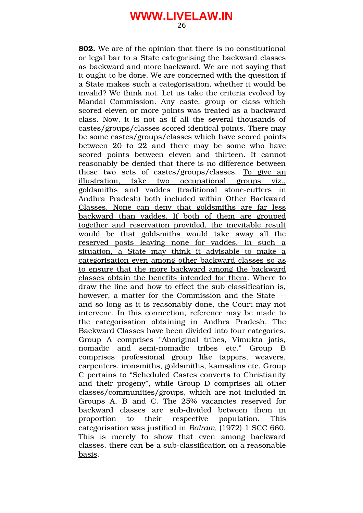**802.** We are of the opinion that there is no constitutional or legal bar to a State categorising the backward classes as backward and more backward. We are not saying that it ought to be done. We are concerned with the question if a State makes such a categorisation, whether it would be invalid? We think not. Let us take the criteria evolved by Mandal Commission. Any caste, group or class which scored eleven or more points was treated as a backward class. Now, it is not as if all the several thousands of castes/groups/classes scored identical points. There may be some castes/groups/classes which have scored points between 20 to 22 and there may be some who have scored points between eleven and thirteen. It cannot reasonably be denied that there is no difference between these two sets of castes/groups/classes. To give an illustration, take two occupational groups viz., goldsmiths and vaddes (traditional stone-cutters in Andhra Pradesh) both included within Other Backward Classes. None can deny that goldsmiths are far less backward than vaddes. If both of them are grouped together and reservation provided, the inevitable result would be that goldsmiths would take away all the reserved posts leaving none for vaddes. In such a situation, a State may think it advisable to make a categorisation even among other backward classes so as to ensure that the more backward among the backward classes obtain the benefits intended for them. Where to draw the line and how to effect the sub-classification is. however, a matter for the Commission and the State and so long as it is reasonably done, the Court may not intervene. In this connection, reference may be made to the categorisation obtaining in Andhra Pradesh. The Backward Classes have been divided into four categories. Group A comprises "Aboriginal tribes, Vimukta jatis, nomadic and semi-nomadic tribes etc." Group B comprises professional group like tappers, weavers, carpenters, ironsmiths, goldsmiths, kamsalins etc. Group C pertains to "Scheduled Castes converts to Christianity and their progeny", while Group D comprises all other classes/communities/groups, which are not included in Groups A, B and C. The 25% vacancies reserved for backward classes are sub-divided between them in proportion to their respective population. This categorisation was justified in *Balram,* (1972) 1 SCC 660. This is merely to show that even among backward classes, there can be a sub-classification on a reasonable basis.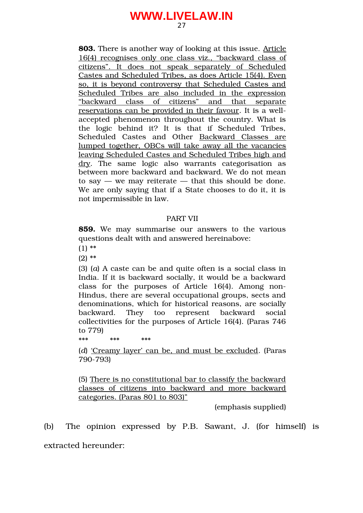**803.** There is another way of looking at this issue. Article 16(4) recognises only one class viz., "backward class of citizens". It does not speak separately of Scheduled Castes and Scheduled Tribes, as does Article 15(4). Even so, it is beyond controversy that Scheduled Castes and Scheduled Tribes are also included in the expression "backward class of citizens" and that separate reservations can be provided in their favour. It is a wellaccepted phenomenon throughout the country. What is the logic behind it? It is that if Scheduled Tribes, Scheduled Castes and Other Backward Classes are lumped together, OBCs will take away all the vacancies leaving Scheduled Castes and Scheduled Tribes high and dry. The same logic also warrants categorisation as between more backward and backward. We do not mean to say  $-$  we may reiterate  $-$  that this should be done. We are only saying that if a State chooses to do it, it is not impermissible in law.

#### PART VII

**859.** We may summarise our answers to the various questions dealt with and answered hereinabove:

(1) \*\*

(2) \*\*

(3) (*a*) A caste can be and quite often is a social class in India. If it is backward socially, it would be a backward class for the purposes of Article  $16(4)$ . Among non-Hindus, there are several occupational groups, sects and denominations, which for historical reasons, are socially backward. They too represent backward social collectivities for the purposes of Article 16(4). (Paras 746 to 779)

\*\*\* \*\*\* \*\*\*

(*d*) 'Creamy layer' can be, and must be excluded. (Paras 790-793)

(5) There is no constitutional bar to classify the backward classes of citizens into backward and more backward categories. (Paras 801 to 803)"

(emphasis supplied)

(b) The opinion expressed by P.B. Sawant, J. (for himself) is extracted hereunder: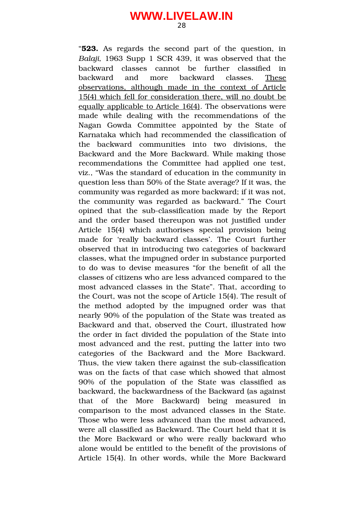"**523.** As regards the second part of the question, in *Balaji,* 1963 Supp 1 SCR 439, it was observed that the backward classes cannot be further classified in backward and more backward classes. These observations, although made in the context of Article 15(4) which fell for consideration there, will no doubt be equally applicable to Article 16(4). The observations were made while dealing with the recommendations of the Nagan Gowda Committee appointed by the State of Karnataka which had recommended the classification of the backward communities into two divisions, the Backward and the More Backward. While making those recommendations the Committee had applied one test, viz., "Was the standard of education in the community in question less than 50% of the State average? If it was, the community was regarded as more backward; if it was not, the community was regarded as backward." The Court opined that the sub-classification made by the Report and the order based thereupon was not justified under Article 15(4) which authorises special provision being made for 'really backward classes'. The Court further observed that in introducing two categories of backward classes, what the impugned order in substance purported to do was to devise measures "for the benefit of all the classes of citizens who are less advanced compared to the most advanced classes in the State". That, according to the Court, was not the scope of Article 15(4). The result of the method adopted by the impugned order was that nearly 90% of the population of the State was treated as Backward and that, observed the Court, illustrated how the order in fact divided the population of the State into most advanced and the rest, putting the latter into two categories of the Backward and the More Backward. Thus, the view taken there against the sub-classification was on the facts of that case which showed that almost 90% of the population of the State was classified as backward, the backwardness of the Backward (as against that of the More Backward) being measured in comparison to the most advanced classes in the State. Those who were less advanced than the most advanced, were all classified as Backward. The Court held that it is the More Backward or who were really backward who alone would be entitled to the benefit of the provisions of Article 15(4). In other words, while the More Backward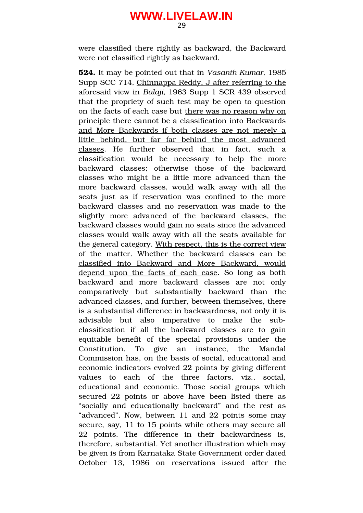were classified there rightly as backward, the Backward were not classified rightly as backward.

**524.** It may be pointed out that in *Vasanth Kumar,* 1985 Supp SCC 714, Chinnappa Reddy, J after referring to the aforesaid view in *Balaji,* 1963 Supp 1 SCR 439 observed that the propriety of such test may be open to question on the facts of each case but there was no reason why on principle there cannot be a classification into Backwards and More Backwards if both classes are not merely a little behind, but far far behind the most advanced classes. He further observed that in fact, such a classification would be necessary to help the more backward classes; otherwise those of the backward classes who might be a little more advanced than the more backward classes, would walk away with all the seats just as if reservation was confined to the more backward classes and no reservation was made to the slightly more advanced of the backward classes, the backward classes would gain no seats since the advanced classes would walk away with all the seats available for the general category. With respect, this is the correct view of the matter. Whether the backward classes can be classified into Backward and More Backward, would depend upon the facts of each case. So long as both backward and more backward classes are not only comparatively but substantially backward than the advanced classes, and further, between themselves, there is a substantial difference in backwardness, not only it is advisable but also imperative to make the subclassification if all the backward classes are to gain equitable benefit of the special provisions under the Constitution. To give an instance, the Mandal Commission has, on the basis of social, educational and economic indicators evolved 22 points by giving different values to each of the three factors, viz., social, educational and economic. Those social groups which secured 22 points or above have been listed there as "socially and educationally backward" and the rest as "advanced". Now, between 11 and 22 points some may secure, say, 11 to 15 points while others may secure all 22 points. The difference in their backwardness is, therefore, substantial. Yet another illustration which may be given is from Karnataka State Government order dated October 13, 1986 on reservations issued after the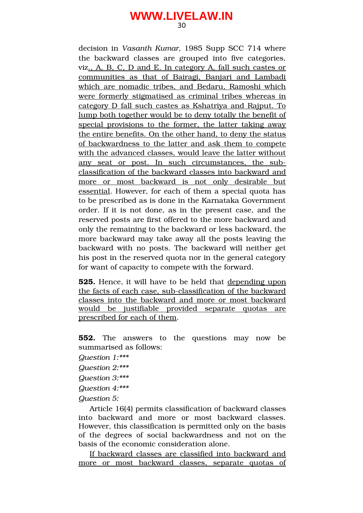decision in *Vasanth Kumar,* 1985 Supp SCC 714 where the backward classes are grouped into five categories, viz., A, B, C, D and E. In category A, fall such castes or communities as that of Bairagi, Banjari and Lambadi which are nomadic tribes, and Bedaru, Ramoshi which were formerly stigmatised as criminal tribes whereas in category D fall such castes as Kshatriya and Rajput. To lump both together would be to deny totally the benefit of special provisions to the former, the latter taking away the entire benefits. On the other hand, to deny the status of backwardness to the latter and ask them to compete with the advanced classes, would leave the latter without any seat or post. In such circumstances, the subclassification of the backward classes into backward and more or most backward is not only desirable but essential. However, for each of them a special quota has to be prescribed as is done in the Karnataka Government order. If it is not done, as in the present case, and the reserved posts are first offered to the more backward and only the remaining to the backward or less backward, the more backward may take away all the posts leaving the backward with no posts. The backward will neither get his post in the reserved quota nor in the general category for want of capacity to compete with the forward.

**525.** Hence, it will have to be held that depending upon the facts of each case, sub-classification of the backward classes into the backward and more or most backward would be justifiable provided separate quotas are prescribed for each of them.

**552.** The answers to the questions may now be summarised as follows:

*Question 1:\*\*\**

*Question 2:\*\*\**

*Question 3:\*\*\**

*Question 4:\*\*\**

*Question 5:*

Article 16(4) permits classification of backward classes into backward and more or most backward classes. However, this classification is permitted only on the basis of the degrees of social backwardness and not on the basis of the economic consideration alone.

If backward classes are classified into backward and more or most backward classes, separate quotas of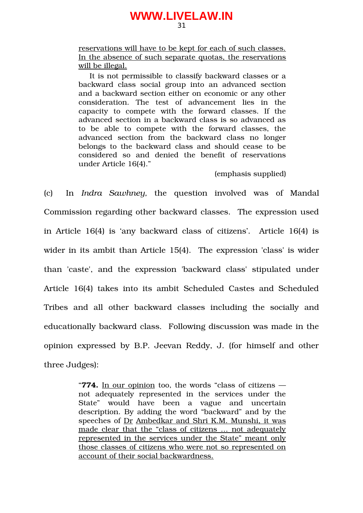reservations will have to be kept for each of such classes. In the absence of such separate quotas, the reservations will be illegal.

It is not permissible to classify backward classes or a backward class social group into an advanced section and a backward section either on economic or any other consideration. The test of advancement lies in the capacity to compete with the forward classes. If the advanced section in a backward class is so advanced as to be able to compete with the forward classes, the advanced section from the backward class no longer belongs to the backward class and should cease to be considered so and denied the benefit of reservations under Article 16(4)."

(emphasis supplied)

(c) In *Indra Sawhney,* the question involved was of Mandal Commission regarding other backward classes. The expression used in Article 16(4) is 'any backward class of citizens'. Article 16(4) is wider in its ambit than Article 15(4). The expression 'class' is wider than 'caste', and the expression 'backward class' stipulated under Article 16(4) takes into its ambit Scheduled Castes and Scheduled Tribes and all other backward classes including the socially and educationally backward class. Following discussion was made in the opinion expressed by B.P. Jeevan Reddy, J. (for himself and other three Judges):

> "**774.** In our opinion too, the words "class of citizens not adequately represented in the services under the State" would have been a vague and uncertain description. By adding the word "backward" and by the speeches of Dr Ambedkar and Shri K.M. Munshi, it was made clear that the "class of citizens … not adequately represented in the services under the State" meant only those classes of citizens who were not so represented on account of their social backwardness.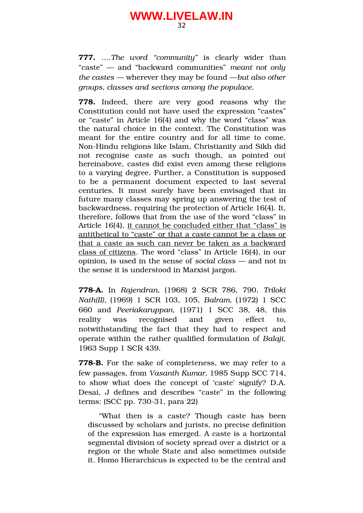**777.** ….*The word "community"* is clearly wider than "caste" — and "backward communities" *meant not only the castes* — wherever they may be found —*but also other groups, classes and sections among the populace.*

778. Indeed, there are very good reasons why the Constitution could not have used the expression "castes" or "caste" in Article 16(4) and why the word "class" was the natural choice in the context. The Constitution was meant for the entire country and for all time to come. Non-Hindu religions like Islam, Christianity and Sikh did not recognise caste as such though, as pointed out hereinabove, castes did exist even among these religions to a varying degree. Further, a Constitution is supposed to be a permanent document expected to last several centuries. It must surely have been envisaged that in future many classes may spring up answering the test of backwardness, requiring the protection of Article 16(4). It, therefore, follows that from the use of the word "class" in Article 16(4), it cannot be concluded either that "class" is antithetical to "caste" or that a caste cannot be a class or that a caste as such can never be taken as a backward class of citizens. The word "class" in Article 16(4), in our opinion, is used in the sense of *social class* — and not in the sense it is understood in Marxist jargon.

**778A.** In *Rajendran*, (1968) 2 SCR 786, 790, *Triloki Nath(II)*, (1969) 1 SCR 103, 105, *Balram,* (1972) 1 SCC 660 and *Peeriakaruppan,* (1971) 1 SCC 38, 48, this reality was recognised and given effect to, notwithstanding the fact that they had to respect and operate within the rather qualified formulation of *Balaji,* 1963 Supp 1 SCR 439.

**778-B.** For the sake of completeness, we may refer to a few passages, from *Vasanth Kumar,* 1985 Supp SCC 714, to show what does the concept of 'caste' signify? D.A. Desai, J defines and describes "caste" in the following terms:  $(SCC pp. 730-31, para 22)$ 

"What then is a caste? Though caste has been discussed by scholars and jurists, no precise definition of the expression has emerged. A caste is a horizontal segmental division of society spread over a district or a region or the whole State and also sometimes outside it. Homo Hierarchicus is expected to be the central and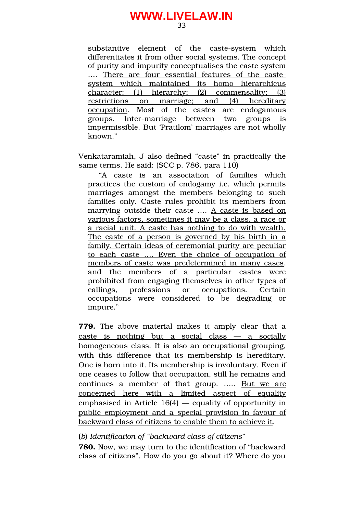substantive element of the caste-system which differentiates it from other social systems. The concept of purity and impurity conceptualises the caste system .... There are four essential features of the castesystem which maintained its homo hierarchicus character: (1) hierarchy; (2) commensality; (3) restrictions on marriage; and (4) hereditary occupation. Most of the castes are endogamous groups. Inter-marriage between two groups is impermissible. But 'Pratilom' marriages are not wholly known."

Venkataramiah, J also defined "caste" in practically the same terms. He said: (SCC p. 786, para 110)

"A caste is an association of families which practices the custom of endogamy i.e. which permits marriages amongst the members belonging to such families only. Caste rules prohibit its members from marrying outside their caste …. A caste is based on various factors, sometimes it may be a class, a race or a racial unit. A caste has nothing to do with wealth. The caste of a person is governed by his birth in a family. Certain ideas of ceremonial purity are peculiar to each caste .... Even the choice of occupation of members of caste was predetermined in many cases, and the members of a particular castes were prohibited from engaging themselves in other types of callings, professions or occupations. Certain occupations were considered to be degrading or impure."

**779.** The above material makes it amply clear that a  $\text{caste}$  is nothing but a social class  $-$  a socially homogeneous class. It is also an occupational grouping, with this difference that its membership is hereditary. One is born into it. Its membership is involuntary. Even if one ceases to follow that occupation, still he remains and continues a member of that group. ..... But we are concerned here with a limited aspect of equality emphasised in Article  $16(4)$  — equality of opportunity in public employment and a special provision in favour of backward class of citizens to enable them to achieve it.

(*b*) *Identification of "backward class of citizens*"

**780.** Now, we may turn to the identification of "backward class of citizens". How do you go about it? Where do you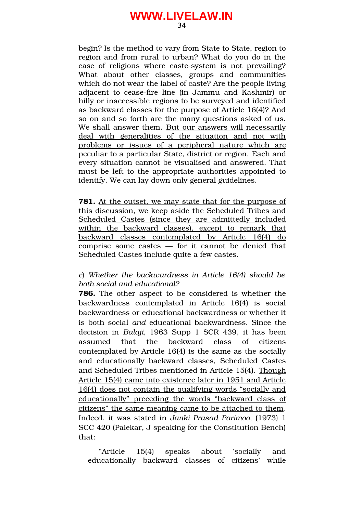begin? Is the method to vary from State to State, region to region and from rural to urban? What do you do in the case of religions where caste-system is not prevailing? What about other classes, groups and communities which do not wear the label of caste? Are the people living adjacent to cease-fire line (in Jammu and Kashmir) or hilly or inaccessible regions to be surveyed and identified as backward classes for the purpose of Article 16(4)? And so on and so forth are the many questions asked of us. We shall answer them. But our answers will necessarily deal with generalities of the situation and not with problems or issues of a peripheral nature which are peculiar to a particular State, district or region. Each and every situation cannot be visualised and answered. That must be left to the appropriate authorities appointed to identify. We can lay down only general guidelines.

**781.** At the outset, we may state that for the purpose of this discussion, we keep aside the Scheduled Tribes and Scheduled Castes (since they are admittedly included within the backward classes), except to remark that backward classes contemplated by Article 16(4) do comprise some castes  $-$  for it cannot be denied that Scheduled Castes include quite a few castes.

#### *c*) *Whether the backwardness in Article 16(4) should be both social and educational?*

**786.** The other aspect to be considered is whether the backwardness contemplated in Article 16(4) is social backwardness or educational backwardness or whether it is both social *and* educational backwardness. Since the decision in *Balaji,* 1963 Supp 1 SCR 439, it has been assumed that the backward class of citizens contemplated by Article 16(4) is the same as the socially and educationally backward classes, Scheduled Castes and Scheduled Tribes mentioned in Article 15(4). Though Article 15(4) came into existence later in 1951 and Article 16(4) does not contain the qualifying words "socially and educationally" preceding the words "backward class of citizens" the same meaning came to be attached to them. Indeed, it was stated in *Janki Prasad Parimoo,* (1973) 1 SCC 420 (Palekar, J speaking for the Constitution Bench) that:

"Article 15(4) speaks about 'socially and educationally backward classes of citizens' while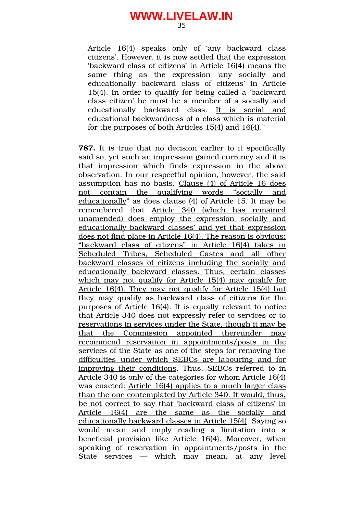Article 16(4) speaks only of 'any backward class citizens'. However, it is now settled that the expression 'backward class of citizens' in Article 16(4) means the same thing as the expression 'any socially and educationally backward class of citizens' in Article 15(4). In order to qualify for being called a 'backward class citizen' he must be a member of a socially and educationally backward class. It is social and educational backwardness of a class which is material for the purposes of both Articles 15(4) and 16(4)."

**787.** It is true that no decision earlier to it specifically said so, yet such an impression gained currency and it is that impression which finds expression in the above observation. In our respectful opinion, however, the said assumption has no basis. Clause (4) of Article 16 does not contain the qualifying words "socially and educationally" as does clause (4) of Article 15. It may be remembered that Article 340 (which has remained unamended) does employ the expression 'socially and educationally backward classes' and yet that expression does not find place in Article 16(4). The reason is obvious: "backward class of citizens" in Article 16(4) takes in Scheduled Tribes, Scheduled Castes and all other backward classes of citizens including the socially and educationally backward classes. Thus, certain classes which may not qualify for Article 15(4) may qualify for Article 16(4). They may not qualify for Article 15(4) but they may qualify as backward class of citizens for the purposes of Article 16(4). It is equally relevant to notice that Article 340 does not expressly refer to services or to reservations in services under the State, though it may be that the Commission appointed thereunder may recommend reservation in appointments/posts in the services of the State as one of the steps for removing the difficulties under which SEBCs are labouring and for improving their conditions. Thus, SEBCs referred to in Article 340 is only of the categories for whom Article 16(4) was enacted: Article 16(4) applies to a much larger class than the one contemplated by Article 340. It would, thus, be not correct to say that 'backward class of citizens' in Article 16(4) are the same as the socially and educationally backward classes in Article 15(4). Saying so would mean and imply reading a limitation into a beneficial provision like Article 16(4). Moreover, when speaking of reservation in appointments/posts in the State services  $-$  which may mean, at any level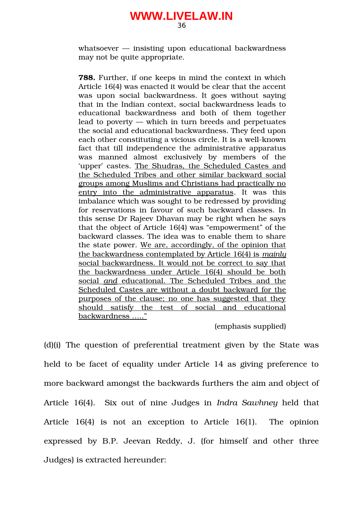whatsoever — insisting upon educational backwardness may not be quite appropriate.

**788.** Further, if one keeps in mind the context in which Article 16(4) was enacted it would be clear that the accent was upon social backwardness. It goes without saying that in the Indian context, social backwardness leads to educational backwardness and both of them together lead to poverty — which in turn breeds and perpetuates the social and educational backwardness. They feed upon each other constituting a vicious circle. It is a well-known fact that till independence the administrative apparatus was manned almost exclusively by members of the 'upper' castes. The Shudras, the Scheduled Castes and the Scheduled Tribes and other similar backward social groups among Muslims and Christians had practically no entry into the administrative apparatus. It was this imbalance which was sought to be redressed by providing for reservations in favour of such backward classes. In this sense Dr Rajeev Dhavan may be right when he says that the object of Article 16(4) was "empowerment" of the backward classes. The idea was to enable them to share the state power. We are, accordingly, of the opinion that the backwardness contemplated by Article 16(4) is *mainly* social backwardness. It would not be correct to say that the backwardness under Article 16(4) should be both social and educational. The Scheduled Tribes and the Scheduled Castes are without a doubt backward for the purposes of the clause; no one has suggested that they should satisfy the test of social and educational backwardness ….."

(emphasis supplied)

(d)(i) The question of preferential treatment given by the State was held to be facet of equality under Article 14 as giving preference to more backward amongst the backwards furthers the aim and object of Article 16(4). Six out of nine Judges in *Indra Sawhney* held that Article  $16(4)$  is not an exception to Article  $16(1)$ . The opinion expressed by B.P. Jeevan Reddy, J. (for himself and other three Judges) is extracted hereunder: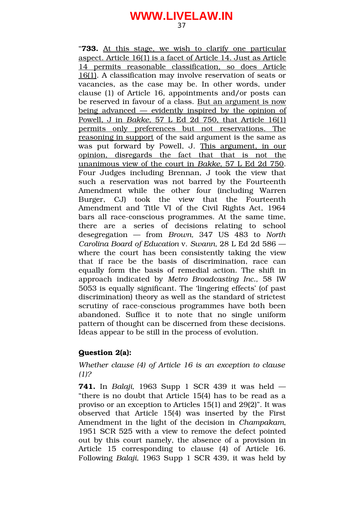"**733.** At this stage, we wish to clarify one particular aspect. Article 16(1) is a facet of Article 14. Just as Article 14 permits reasonable classification, so does Article 16(1). A classification may involve reservation of seats or vacancies, as the case may be. In other words, under clause (1) of Article 16, appointments and/or posts can be reserved in favour of a class. But an argument is now being advanced — evidently inspired by the opinion of Powell, J in *Bakke*, 57 L Ed 2d 750, that Article 16(1) permits only preferences but not reservations. The reasoning in support of the said argument is the same as was put forward by Powell, J. This argument, in our opinion, disregards the fact that that is not the unanimous view of the court in *Bakke*, 57 L Ed 2d 750. Four Judges including Brennan, J took the view that such a reservation was not barred by the Fourteenth Amendment while the other four (including Warren Burger, CJ) took the view that the Fourteenth Amendment and Title VI of the Civil Rights Act, 1964 bars all race-conscious programmes. At the same time, there are a series of decisions relating to school desegregation — from *Brown,* 347 US 483 to *North Carolina Board of Education* v. *Swann,* 28 L Ed 2d 586 where the court has been consistently taking the view that if race be the basis of discrimination, race can equally form the basis of remedial action. The shift in approach indicated by *Metro Broadcasting Inc.,* 58 IW 5053 is equally significant. The 'lingering effects' (of past discrimination) theory as well as the standard of strictest scrutiny of race-conscious programmes have both been abandoned. Suffice it to note that no single uniform pattern of thought can be discerned from these decisions. Ideas appear to be still in the process of evolution.

#### **Question 2(a):**

*Whether clause (4) of Article 16 is an exception to clause (1)?*

**741.** In *Balaji,* 1963 Supp 1 SCR 439 it was held — "there is no doubt that Article 15(4) has to be read as a proviso or an exception to Articles 15(1) and 29(2)". It was observed that Article 15(4) was inserted by the First Amendment in the light of the decision in *Champakam*, 1951 SCR 525 with a view to remove the defect pointed out by this court namely, the absence of a provision in Article 15 corresponding to clause (4) of Article 16. Following *Balaji,* 1963 Supp 1 SCR 439, it was held by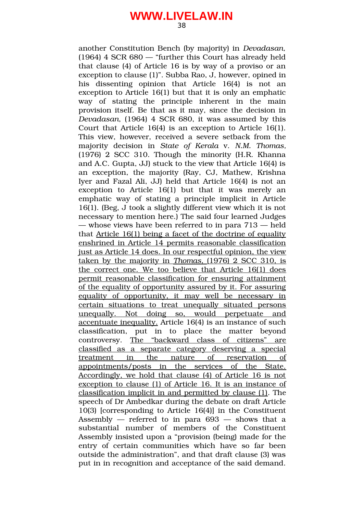another Constitution Bench (by majority) in *Devadasan,* (1964) 4 SCR 680 — "further this Court has already held that clause (4) of Article 16 is by way of a proviso or an exception to clause (1)". Subba Rao, J, however, opined in his dissenting opinion that Article 16(4) is not an exception to Article 16(1) but that it is only an emphatic way of stating the principle inherent in the main provision itself. Be that as it may, since the decision in *Devadasan*, (1964) 4 SCR 680, it was assumed by this Court that Article 16(4) is an exception to Article 16(1). This view, however, received a severe setback from the majority decision in *State of Kerala* v. *N.M. Thomas,* (1976) 2 SCC 310. Though the minority (H.R. Khanna and A.C. Gupta, JJ) stuck to the view that Article 16(4) is an exception, the majority (Ray, CJ, Mathew, Krishna Iyer and Fazal Ali, JJ) held that Article 16(4) is not an exception to Article 16(1) but that it was merely an emphatic way of stating a principle implicit in Article 16(1). (Beg, J took a slightly different view which it is not necessary to mention here.) The said four learned Judges — whose views have been referred to in para 713 — held that Article 16(1) being a facet of the doctrine of equality enshrined in Article 14 permits reasonable classification just as Article 14 does. In our respectful opinion, the view taken by the majority in *Thomas*, (1976) 2 SCC 310, is the correct one. We too believe that Article 16(1) does permit reasonable classification for ensuring attainment of the equality of opportunity assured by it. For assuring equality of opportunity, it may well be necessary in certain situations to treat unequally situated persons unequally. Not doing so, would perpetuate and accentuate inequality. Article 16(4) is an instance of such classification, put in to place the matter beyond controversy. The "backward class of citizens" are classified as a separate category deserving a special treatment in the nature of reservation of appointments/posts in the services of the State. Accordingly, we hold that clause (4) of Article 16 is not exception to clause (1) of Article 16. It is an instance of classification implicit in and permitted by clause (1). The speech of Dr Ambedkar during the debate on draft Article 10(3) [corresponding to Article 16(4)] in the Constituent Assembly  $-$  referred to in para  $693 -$  shows that a substantial number of members of the Constituent Assembly insisted upon a "provision (being) made for the entry of certain communities which have so far been outside the administration", and that draft clause (3) was put in in recognition and acceptance of the said demand.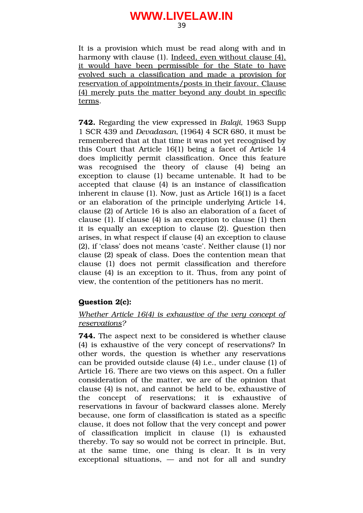It is a provision which must be read along with and in harmony with clause (1). Indeed, even without clause (4), it would have been permissible for the State to have evolved such a classification and made a provision for reservation of appointments/posts in their favour. Clause (4) merely puts the matter beyond any doubt in specific terms.

**742.** Regarding the view expressed in *Balaji,* 1963 Supp 1 SCR 439 and *Devadasan*, (1964) 4 SCR 680, it must be remembered that at that time it was not yet recognised by this Court that Article 16(1) being a facet of Article 14 does implicitly permit classification. Once this feature was recognised the theory of clause (4) being an exception to clause (1) became untenable. It had to be accepted that clause (4) is an instance of classification inherent in clause (1). Now, just as Article 16(1) is a facet or an elaboration of the principle underlying Article 14, clause (2) of Article 16 is also an elaboration of a facet of clause (1). If clause (4) is an exception to clause (1) then it is equally an exception to clause (2). Question then arises, in what respect if clause (4) an exception to clause (2), if 'class' does not means 'caste'. Neither clause (1) nor clause (2) speak of class. Does the contention mean that clause (1) does not permit classification and therefore clause (4) is an exception to it. Thus, from any point of view, the contention of the petitioners has no merit.

### **Question 2(c):**

### *Whether Article 16(4) is exhaustive of the very concept of reservations?*

**744.** The aspect next to be considered is whether clause (4) is exhaustive of the very concept of reservations? In other words, the question is whether any reservations can be provided outside clause (4) i.e., under clause (1) of Article 16. There are two views on this aspect. On a fuller consideration of the matter, we are of the opinion that clause (4) is not, and cannot be held to be, exhaustive of the concept of reservations; it is exhaustive of reservations in favour of backward classes alone. Merely because, one form of classification is stated as a specific clause, it does not follow that the very concept and power of classification implicit in clause (1) is exhausted thereby. To say so would not be correct in principle. But, at the same time, one thing is clear. It is in very  $exceptional situations, - and not for all and sundry$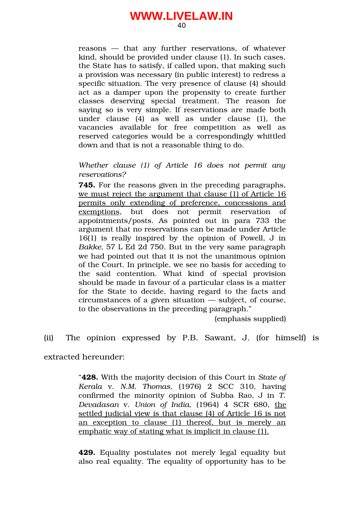40

reasons – that any further reservations, of whatever kind, should be provided under clause (1). In such cases, the State has to satisfy, if called upon, that making such a provision was necessary (in public interest) to redress a specific situation. The very presence of clause (4) should act as a damper upon the propensity to create further classes deserving special treatment. The reason for saying so is very simple. If reservations are made both under clause  $(4)$  as well as under clause  $(1)$ , the vacancies available for free competition as well as reserved categories would be a correspondingly whittled down and that is not a reasonable thing to do.

*Whether clause (1) of Article 16 does not permit any reservations?*

**745.** For the reasons given in the preceding paragraphs, we must reject the argument that clause (1) of Article 16 permits only extending of preference, concessions and exemptions, but does not permit reservation of appointments/posts. As pointed out in para 733 the argument that no reservations can be made under Article 16(1) is really inspired by the opinion of Powell, J in *Bakke,* 57 L Ed 2d 750. But in the very same paragraph we had pointed out that it is not the unanimous opinion of the Court. In principle, we see no basis for acceding to the said contention. What kind of special provision should be made in favour of a particular class is a matter for the State to decide, having regard to the facts and circumstances of a given situation — subject, of course, to the observations in the preceding paragraph."

(emphasis supplied)

(ii) The opinion expressed by P.B. Sawant, J. (for himself) is

extracted hereunder:

"**428.** With the majority decision of this Court in *State of Kerala* v. *N.M. Thomas,* (1976) 2 SCC 310, having confirmed the minority opinion of Subba Rao, J in *T. Devadasan* v. *Union of India,* (1964) 4 SCR 680, the settled judicial view is that clause (4) of Article 16 is not an exception to clause (1) thereof, but is merely an emphatic way of stating what is implicit in clause (1).

**429.** Equality postulates not merely legal equality but also real equality. The equality of opportunity has to be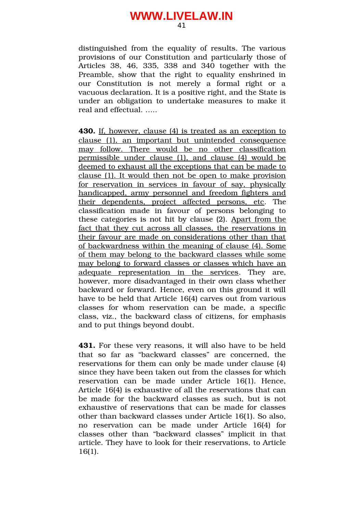distinguished from the equality of results. The various provisions of our Constitution and particularly those of Articles 38, 46, 335, 338 and 340 together with the Preamble, show that the right to equality enshrined in our Constitution is not merely a formal right or a vacuous declaration. It is a positive right, and the State is under an obligation to undertake measures to make it real and effectual. …..

**430.** If, however, clause (4) is treated as an exception to clause (1), an important but unintended consequence may follow. There would be no other classification permissible under clause (1), and clause (4) would be deemed to exhaust all the exceptions that can be made to clause (1). It would then not be open to make provision for reservation in services in favour of say, physically handicapped, army personnel and freedom fighters and their dependents, project affected persons, etc. The classification made in favour of persons belonging to these categories is not hit by clause (2). Apart from the fact that they cut across all classes, the reservations in their favour are made on considerations other than that of backwardness within the meaning of clause (4). Some of them may belong to the backward classes while some may belong to forward classes or classes which have an adequate representation in the services. They are, however, more disadvantaged in their own class whether backward or forward. Hence, even on this ground it will have to be held that Article 16(4) carves out from various classes for whom reservation can be made, a specific class, viz., the backward class of citizens, for emphasis and to put things beyond doubt.

**431.** For these very reasons, it will also have to be held that so far as "backward classes" are concerned, the reservations for them can only be made under clause (4) since they have been taken out from the classes for which reservation can be made under Article 16(1). Hence, Article 16(4) is exhaustive of all the reservations that can be made for the backward classes as such, but is not exhaustive of reservations that can be made for classes other than backward classes under Article 16(1). So also, no reservation can be made under Article 16(4) for classes other than "backward classes" implicit in that article. They have to look for their reservations, to Article 16(1).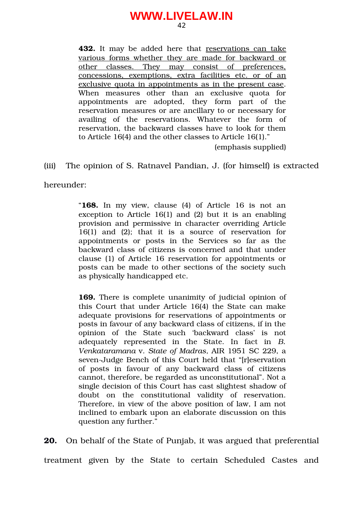42

**432.** It may be added here that reservations can take various forms whether they are made for backward or other classes. They may consist of preferences, concessions, exemptions, extra facilities etc. or of an exclusive quota in appointments as in the present case. When measures other than an exclusive quota for appointments are adopted, they form part of the reservation measures or are ancillary to or necessary for availing of the reservations. Whatever the form of reservation, the backward classes have to look for them to Article 16(4) and the other classes to Article 16(1)."

(emphasis supplied)

(iii) The opinion of S. Ratnavel Pandian, J. (for himself) is extracted

hereunder:

"**168.** In my view, clause (4) of Article 16 is not an exception to Article 16(1) and (2) but it is an enabling provision and permissive in character overriding Article  $16(1)$  and  $(2)$ ; that it is a source of reservation for appointments or posts in the Services so far as the backward class of citizens is concerned and that under clause (1) of Article 16 reservation for appointments or posts can be made to other sections of the society such as physically handicapped etc.

**169.** There is complete unanimity of judicial opinion of this Court that under Article 16(4) the State can make adequate provisions for reservations of appointments or posts in favour of any backward class of citizens, if in the opinion of the State such 'backward class' is not adequately represented in the State. In fact in *B. Venkataramana* v. *State of Madras,* AIR 1951 SC 229, a seven-Judge Bench of this Court held that "[r]eservation of posts in favour of any backward class of citizens cannot, therefore, be regarded as unconstitutional". Not a single decision of this Court has cast slightest shadow of doubt on the constitutional validity of reservation. Therefore, in view of the above position of law, I am not inclined to embark upon an elaborate discussion on this question any further."

**20.** On behalf of the State of Punjab, it was argued that preferential treatment given by the State to certain Scheduled Castes and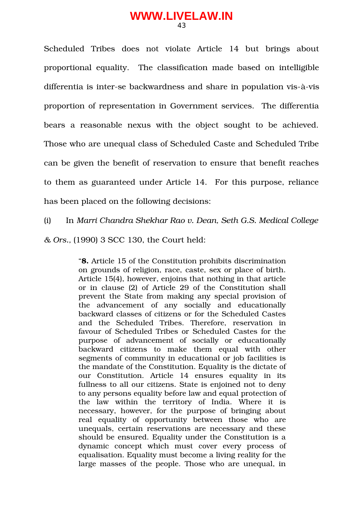Scheduled Tribes does not violate Article 14 but brings about proportional equality. The classification made based on intelligible differentia is inter-se backwardness and share in population vis-à-vis proportion of representation in Government services. The differentia bears a reasonable nexus with the object sought to be achieved. Those who are unequal class of Scheduled Caste and Scheduled Tribe can be given the benefit of reservation to ensure that benefit reaches to them as guaranteed under Article 14. For this purpose, reliance has been placed on the following decisions:

(i) In *Marri Chandra Shekhar Rao v. Dean, Seth G.S. Medical College*

*& Ors.,* (1990) 3 SCC 130, the Court held:

"**8.** Article 15 of the Constitution prohibits discrimination on grounds of religion, race, caste, sex or place of birth. Article 15(4), however, enjoins that nothing in that article or in clause (2) of Article 29 of the Constitution shall prevent the State from making any special provision of the advancement of any socially and educationally backward classes of citizens or for the Scheduled Castes and the Scheduled Tribes. Therefore, reservation in favour of Scheduled Tribes or Scheduled Castes for the purpose of advancement of socially or educationally backward citizens to make them equal with other segments of community in educational or job facilities is the mandate of the Constitution. Equality is the dictate of our Constitution. Article 14 ensures equality in its fullness to all our citizens. State is enjoined not to deny to any persons equality before law and equal protection of the law within the territory of India. Where it is necessary, however, for the purpose of bringing about real equality of opportunity between those who are unequals, certain reservations are necessary and these should be ensured. Equality under the Constitution is a dynamic concept which must cover every process of equalisation. Equality must become a living reality for the large masses of the people. Those who are unequal, in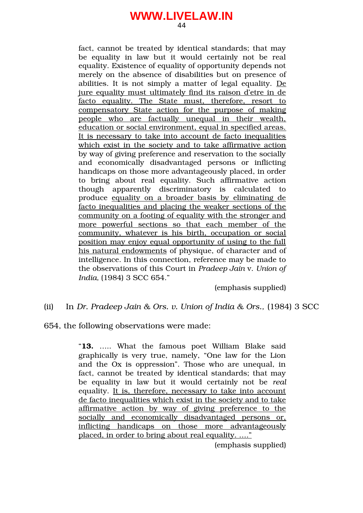44

fact, cannot be treated by identical standards; that may be equality in law but it would certainly not be real equality. Existence of equality of opportunity depends not merely on the absence of disabilities but on presence of abilities. It is not simply a matter of legal equality. De jure equality must ultimately find its raison d'etre in de facto equality. The State must, therefore, resort to compensatory State action for the purpose of making people who are factually unequal in their wealth, education or social environment, equal in specified areas. It is necessary to take into account de facto inequalities which exist in the society and to take affirmative action by way of giving preference and reservation to the socially and economically disadvantaged persons or inflicting handicaps on those more advantageously placed, in order to bring about real equality. Such affirmative action though apparently discriminatory is calculated to produce equality on a broader basis by eliminating de facto inequalities and placing the weaker sections of the community on a footing of equality with the stronger and more powerful sections so that each member of the community, whatever is his birth, occupation or social position may enjoy equal opportunity of using to the full his natural endowments of physique, of character and of intelligence. In this connection, reference may be made to the observations of this Court in *Pradeep Jain* v. *Union of India,* (1984) 3 SCC 654."

(emphasis supplied)

#### (ii) In *Dr. Pradeep Jain & Ors. v. Union of India & Ors.,* (1984) 3 SCC

654, the following observations were made:

"**13.** ….. What the famous poet William Blake said graphically is very true, namely, "One law for the Lion and the Ox is oppression". Those who are unequal, in fact, cannot be treated by identical standards; that may be equality in law but it would certainly not be *real* equality. It is, therefore, necessary to take into account de facto inequalities which exist in the society and to take affirmative action by way of giving preference to the socially and economically disadvantaged persons or, inflicting handicaps on those more advantageously placed, in order to bring about real equality. …."

(emphasis supplied)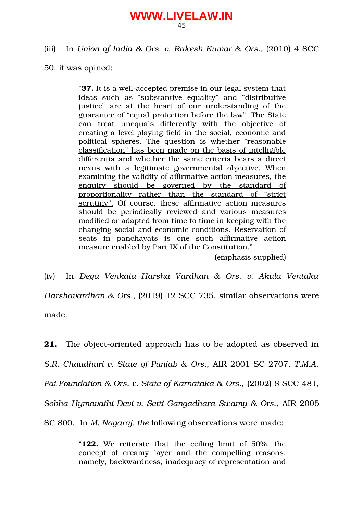#### (iii) In *Union of India & Ors. v. Rakesh Kumar & Ors.,* (2010) 4 SCC

50, it was opined:

"37. It is a well-accepted premise in our legal system that ideas such as "substantive equality" and "distributive justice" are at the heart of our understanding of the guarantee of "equal protection before the law". The State can treat unequals differently with the objective of creating a level-playing field in the social, economic and political spheres. The question is whether "reasonable classification" has been made on the basis of intelligible differentia and whether the same criteria bears a direct nexus with a legitimate governmental objective. When examining the validity of affirmative action measures, the enquiry should be governed by the standard of proportionality rather than the standard of "strict" scrutiny". Of course, these affirmative action measures should be periodically reviewed and various measures modified or adapted from time to time in keeping with the changing social and economic conditions. Reservation of seats in panchayats is one such affirmative action measure enabled by Part IX of the Constitution."

(emphasis supplied)

(iv) In *Dega Venkata Harsha Vardhan & Ors. v. Akula Ventaka Harshavardhan & Ors.,* (2019) 12 SCC 735, similar observations were made.

**21.** The object-oriented approach has to be adopted as observed in *S.R. Chaudhuri v. State of Punjab & Ors.,* AIR 2001 SC 2707, *T.M.A. Pai Foundation & Ors. v. State of Karnataka & Ors.,* (2002) 8 SCC 481, *Sobha Hymavathi Devi v. Setti Gangadhara Swamy & Ors.,* AIR 2005 SC 800. In *M. Nagaraj, the* following observations were made:

> "**122.** We reiterate that the ceiling limit of 50%, the concept of creamy layer and the compelling reasons, namely, backwardness, inadequacy of representation and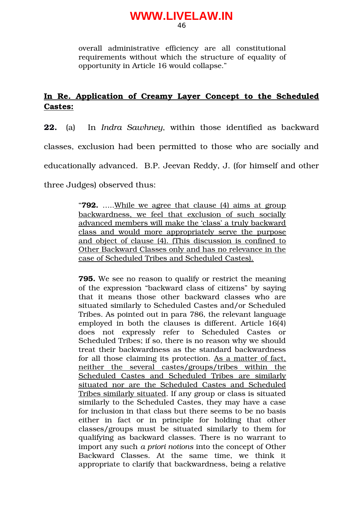overall administrative efficiency are all constitutional requirements without which the structure of equality of opportunity in Article 16 would collapse."

## In Re. Application of Creamy Layer Concept to the Scheduled **Castes:**

**22.** (a) In *Indra Sawhney*, within those identified as backward classes, exclusion had been permitted to those who are socially and educationally advanced. B.P. Jeevan Reddy, J. (for himself and other three Judges) observed thus:

> "**792.** …..While we agree that clause (4) aims at group backwardness, we feel that exclusion of such socially advanced members will make the 'class' a truly backward class and would more appropriately serve the purpose and object of clause (4). (This discussion is confined to Other Backward Classes only and has no relevance in the case of Scheduled Tribes and Scheduled Castes).

> **795.** We see no reason to qualify or restrict the meaning of the expression "backward class of citizens" by saying that it means those other backward classes who are situated similarly to Scheduled Castes and/or Scheduled Tribes. As pointed out in para 786, the relevant language employed in both the clauses is different. Article 16(4) does not expressly refer to Scheduled Castes or Scheduled Tribes; if so, there is no reason why we should treat their backwardness as the standard backwardness for all those claiming its protection. As a matter of fact, neither the several castes/groups/tribes within the Scheduled Castes and Scheduled Tribes are similarly situated nor are the Scheduled Castes and Scheduled Tribes similarly situated. If any group or class is situated similarly to the Scheduled Castes, they may have a case for inclusion in that class but there seems to be no basis either in fact or in principle for holding that other classes/groups must be situated similarly to them for qualifying as backward classes. There is no warrant to import any such *a priori notions* into the concept of Other Backward Classes. At the same time, we think it appropriate to clarify that backwardness, being a relative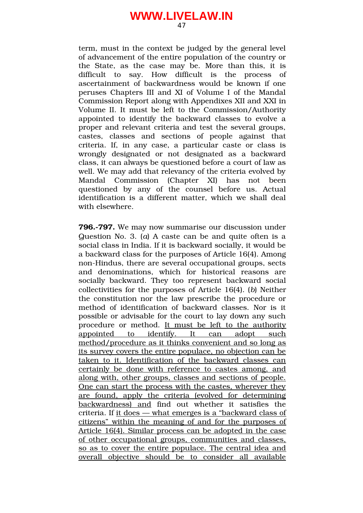term, must in the context be judged by the general level of advancement of the entire population of the country or the State, as the case may be. More than this, it is difficult to say. How difficult is the process of ascertainment of backwardness would be known if one peruses Chapters III and XI of Volume I of the Mandal Commission Report along with Appendixes XII and XXI in Volume II. It must be left to the Commission/Authority appointed to identify the backward classes to evolve a proper and relevant criteria and test the several groups, castes, classes and sections of people against that criteria. If, in any case, a particular caste or class is wrongly designated or not designated as a backward class, it can always be questioned before a court of law as well. We may add that relevancy of the criteria evolved by Mandal Commission (Chapter XI) has not been questioned by any of the counsel before us. Actual identification is a different matter, which we shall deal with elsewhere.

**796.797.** We may now summarise our discussion under Question No. 3. (*a*) A caste can be and quite often is a social class in India. If it is backward socially, it would be a backward class for the purposes of Article 16(4). Among non-Hindus, there are several occupational groups, sects and denominations, which for historical reasons are socially backward. They too represent backward social collectivities for the purposes of Article 16(4). (*b*) Neither the constitution nor the law prescribe the procedure or method of identification of backward classes. Nor is it possible or advisable for the court to lay down any such procedure or method. It must be left to the authority appointed to identify. It can adopt such method/procedure as it thinks convenient and so long as its survey covers the entire populace, no objection can be taken to it. Identification of the backward classes can certainly be done with reference to castes among, and along with, other groups, classes and sections of people. One can start the process with the castes, wherever they are found, apply the criteria (evolved for determining backwardness) and find out whether it satisfies the criteria. If it does — what emerges is a "backward class of citizens" within the meaning of and for the purposes of Article 16(4). Similar process can be adopted in the case of other occupational groups, communities and classes, so as to cover the entire populace. The central idea and overall objective should be to consider all available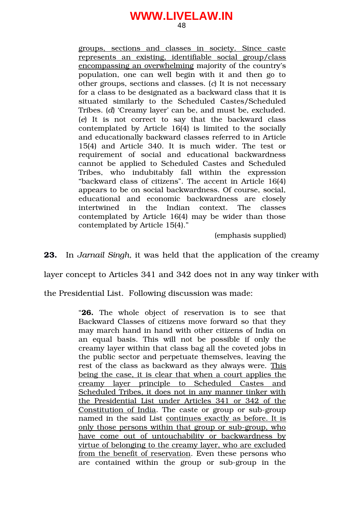48

groups, sections and classes in society. Since caste represents an existing, identifiable social group/class encompassing an overwhelming majority of the country's population, one can well begin with it and then go to other groups, sections and classes. (*c*) It is not necessary for a class to be designated as a backward class that it is situated similarly to the Scheduled Castes/Scheduled Tribes. (*d*) 'Creamy layer' can be, and must be, excluded. (*e*) It is not correct to say that the backward class contemplated by Article 16(4) is limited to the socially and educationally backward classes referred to in Article 15(4) and Article 340. It is much wider. The test or requirement of social and educational backwardness cannot be applied to Scheduled Castes and Scheduled Tribes, who indubitably fall within the expression "backward class of citizens". The accent in Article 16(4) appears to be on social backwardness. Of course, social, educational and economic backwardness are closely intertwined in the Indian context. The classes contemplated by Article 16(4) may be wider than those contemplated by Article 15(4)."

(emphasis supplied)

**23.** In *Jarnail Singh,* it was held that the application of the creamy

layer concept to Articles 341 and 342 does not in any way tinker with

the Presidential List. Following discussion was made:

"26. The whole object of reservation is to see that Backward Classes of citizens move forward so that they may march hand in hand with other citizens of India on an equal basis. This will not be possible if only the creamy layer within that class bag all the coveted jobs in the public sector and perpetuate themselves, leaving the rest of the class as backward as they always were. This being the case, it is clear that when a court applies the creamy layer principle to Scheduled Castes and Scheduled Tribes, it does not in any manner tinker with the Presidential List under Articles 341 or 342 of the Constitution of India. The caste or group or sub-group named in the said List continues exactly as before. It is only those persons within that group or sub-group, who have come out of untouchability or backwardness by virtue of belonging to the creamy layer, who are excluded from the benefit of reservation. Even these persons who are contained within the group or sub-group in the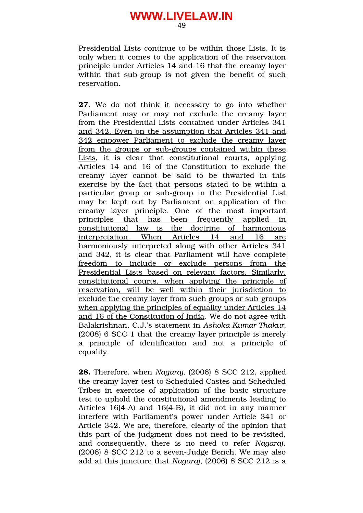Presidential Lists continue to be within those Lists. It is only when it comes to the application of the reservation principle under Articles 14 and 16 that the creamy layer within that sub-group is not given the benefit of such reservation.

**27.** We do not think it necessary to go into whether Parliament may or may not exclude the creamy layer from the Presidential Lists contained under Articles 341 and 342. Even on the assumption that Articles 341 and 342 empower Parliament to exclude the creamy layer from the groups or sub-groups contained within these Lists, it is clear that constitutional courts, applying Articles 14 and 16 of the Constitution to exclude the creamy layer cannot be said to be thwarted in this exercise by the fact that persons stated to be within a particular group or sub-group in the Presidential List may be kept out by Parliament on application of the creamy layer principle. One of the most important principles that has been frequently applied in constitutional law is the doctrine of harmonious interpretation. When Articles 14 and 16 are harmoniously interpreted along with other Articles 341 and 342, it is clear that Parliament will have complete freedom to include or exclude persons from the Presidential Lists based on relevant factors. Similarly, constitutional courts, when applying the principle of reservation, will be well within their jurisdiction to exclude the creamy layer from such groups or sub-groups when applying the principles of equality under Articles 14 and 16 of the Constitution of India. We do not agree with Balakrishnan, C.J.'s statement in *Ashoka Kumar Thakur,* (2008) 6 SCC 1 that the creamy layer principle is merely a principle of identification and not a principle of equality.

**28.** Therefore, when *Nagaraj,* (2006) 8 SCC 212, applied the creamy layer test to Scheduled Castes and Scheduled Tribes in exercise of application of the basic structure test to uphold the constitutional amendments leading to Articles  $16(4-A)$  and  $16(4-B)$ , it did not in any manner interfere with Parliament's power under Article 341 or Article 342. We are, therefore, clearly of the opinion that this part of the judgment does not need to be revisited, and consequently, there is no need to refer *Nagaraj,*  $(2006)$  8 SCC 212 to a seven-Judge Bench. We may also add at this juncture that *Nagaraj,* (2006) 8 SCC 212 is a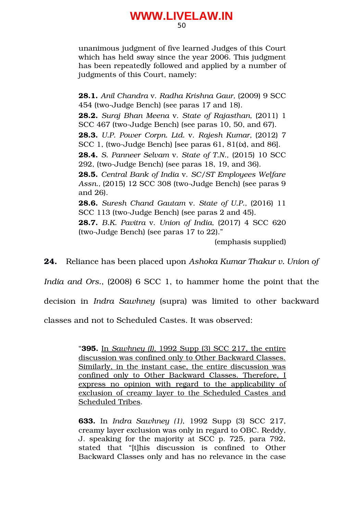unanimous judgment of five learned Judges of this Court which has held sway since the year 2006. This judgment has been repeatedly followed and applied by a number of judgments of this Court, namely:

**28.1.** *Anil Chandra* v. *Radha Krishna Gaur,* (2009) 9 SCC 454 (two-Judge Bench) (see paras 17 and 18). **28.2.** *Suraj Bhan Meena* v. *State of Rajasthan,* (2011) 1 SCC 467 (two-Judge Bench) (see paras 10, 50, and 67). **28.3.** *U.P. Power Corpn. Ltd.* v. *Rajesh Kumar,* (2012) 7 SCC 1, (two-Judge Bench) [see paras 61, 81(*ix*), and 86]. **28.4.** *S. Panneer Selvam* v. *State of T.N.,* (2015) 10 SCC  $292$ , (two-Judge Bench) (see paras 18, 19, and 36). **28.5.** *Central Bank of India* v. *SC/ST Employees Welfare* Assn., (2015) 12 SCC 308 (two-Judge Bench) (see paras 9 and 26). **28.6.** *Suresh Chand Gautam* v. *State of U.P.,* (2016) 11 SCC 113 (two-Judge Bench) (see paras 2 and 45). **28.7.** *B.K. Pavitra* v. *Union of India,* (2017) 4 SCC 620 (two-Judge Bench) (see paras  $17$  to  $22$ )." (emphasis supplied)

**24.** Reliance has been placed upon *Ashoka Kumar Thakur v. Union of*

*India and Ors.*, (2008) 6 SCC 1, to hammer home the point that the decision in *Indra Sawhney* (supra) was limited to other backward

classes and not to Scheduled Castes. It was observed:

"**395.** In *Sawhney (I),* 1992 Supp (3) SCC 217, the entire discussion was confined only to Other Backward Classes. Similarly, in the instant case, the entire discussion was confined only to Other Backward Classes. Therefore, I express no opinion with regard to the applicability of exclusion of creamy layer to the Scheduled Castes and Scheduled Tribes.

**633.** In *Indra Sawhney (1)*, 1992 Supp (3) SCC 217, creamy layer exclusion was only in regard to OBC. Reddy, J. speaking for the majority at SCC p. 725, para 792, stated that "[t]his discussion is confined to Other Backward Classes only and has no relevance in the case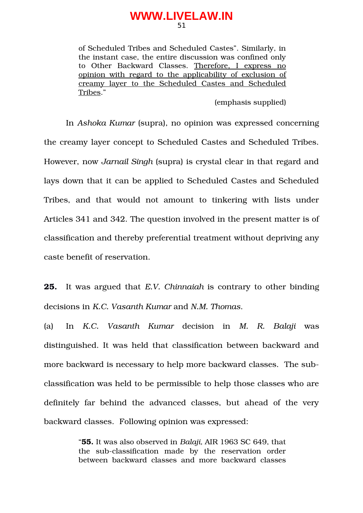of Scheduled Tribes and Scheduled Castes". Similarly, in the instant case, the entire discussion was confined only to Other Backward Classes. Therefore, I express no opinion with regard to the applicability of exclusion of creamy layer to the Scheduled Castes and Scheduled Tribes."

#### (emphasis supplied)

In *Ashoka Kumar* (supra), no opinion was expressed concerning the creamy layer concept to Scheduled Castes and Scheduled Tribes. However, now *Jarnail Singh* (supra) is crystal clear in that regard and lays down that it can be applied to Scheduled Castes and Scheduled Tribes, and that would not amount to tinkering with lists under Articles 341 and 342. The question involved in the present matter is of classification and thereby preferential treatment without depriving any caste benefit of reservation.

**25.** It was argued that *E.V.* Chinnaiah is contrary to other binding decisions in *K.C. Vasanth Kumar* and *N.M. Thomas*.

(a) In *K.C. Vasanth Kumar* decision in *M. R. Balaji* was distinguished. It was held that classification between backward and more backward is necessary to help more backward classes. The subclassification was held to be permissible to help those classes who are definitely far behind the advanced classes, but ahead of the very backward classes. Following opinion was expressed:

> "**55.** It was also observed in *Balaji,* AIR 1963 SC 649, that the sub-classification made by the reservation order between backward classes and more backward classes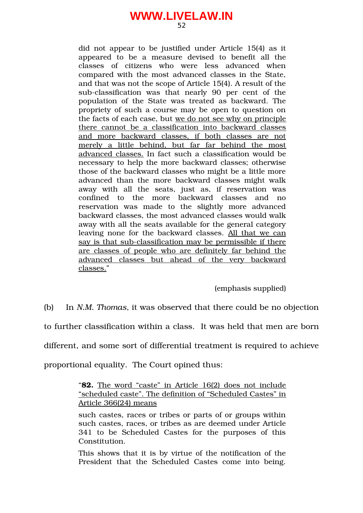did not appear to be justified under Article 15(4) as it appeared to be a measure devised to benefit all the classes of citizens who were less advanced when compared with the most advanced classes in the State, and that was not the scope of Article 15(4). A result of the sub-classification was that nearly 90 per cent of the population of the State was treated as backward. The propriety of such a course may be open to question on the facts of each case, but we do not see why on principle there cannot be a classification into backward classes and more backward classes, if both classes are not merely a little behind, but far far behind the most advanced classes. In fact such a classification would be necessary to help the more backward classes; otherwise those of the backward classes who might be a little more advanced than the more backward classes might walk away with all the seats, just as, if reservation was confined to the more backward classes and no reservation was made to the slightly more advanced backward classes, the most advanced classes would walk away with all the seats available for the general category leaving none for the backward classes. All that we can say is that sub-classification may be permissible if there are classes of people who are definitely far behind the advanced classes but ahead of the very backward classes."

(emphasis supplied)

(b) In *N.M. Thomas*, it was observed that there could be no objection

to further classification within a class. It was held that men are born

different, and some sort of differential treatment is required to achieve

proportional equality. The Court opined thus:

"**82.** The word "caste" in Article 16(2) does not include "scheduled caste". The definition of "Scheduled Castes" in Article 366(24) means

such castes, races or tribes or parts of or groups within such castes, races, or tribes as are deemed under Article 341 to be Scheduled Castes for the purposes of this Constitution.

This shows that it is by virtue of the notification of the President that the Scheduled Castes come into being.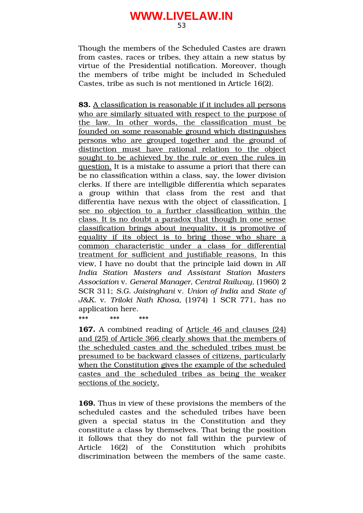Though the members of the Scheduled Castes are drawn from castes, races or tribes, they attain a new status by virtue of the Presidential notification. Moreover, though the members of tribe might be included in Scheduled Castes, tribe as such is not mentioned in Article 16(2).

**83.** A classification is reasonable if it includes all persons who are similarly situated with respect to the purpose of the law. In other words, the classification must be founded on some reasonable ground which distinguishes persons who are grouped together and the ground of distinction must have rational relation to the object sought to be achieved by the rule or even the rules in question. It is a mistake to assume a priori that there can be no classification within a class, say, the lower division clerks. If there are intelligible differentia which separates a group within that class from the rest and that differentia have nexus with the object of classification, I see no objection to a further classification within the class. It is no doubt a paradox that though in one sense classification brings about inequality, it is promotive of equality if its object is to bring those who share a common characteristic under a class for differential treatment for sufficient and justifiable reasons. In this view, I have no doubt that the principle laid down in *All India Station Masters and Assistant Station Masters Association* v. *General Manager, Central Railway,* (1960) 2 SCR 311; *S.G. Jaisinghani* v. *Union of India* and *State of J&K.* v. *Triloki Nath Khosa,* (1974) 1 SCR 771, has no application here.

\*\*\* \*\*\* \*\*\*

**167.** A combined reading of Article 46 and clauses (24) and (25) of Article 366 clearly shows that the members of the scheduled castes and the scheduled tribes must be presumed to be backward classes of citizens, particularly when the Constitution gives the example of the scheduled castes and the scheduled tribes as being the weaker sections of the society.

**169.** Thus in view of these provisions the members of the scheduled castes and the scheduled tribes have been given a special status in the Constitution and they constitute a class by themselves. That being the position it follows that they do not fall within the purview of Article 16(2) of the Constitution which prohibits discrimination between the members of the same caste.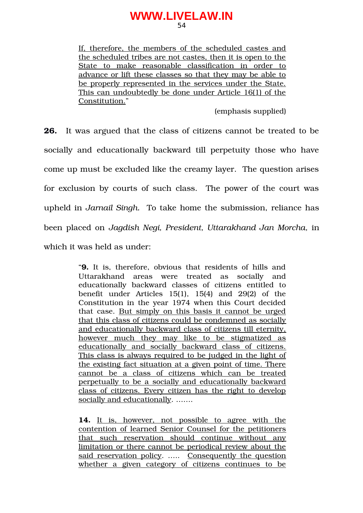54

If, therefore, the members of the scheduled castes and the scheduled tribes are not castes, then it is open to the State to make reasonable classification in order to advance or lift these classes so that they may be able to be properly represented in the services under the State. This can undoubtedly be done under Article 16(1) of the Constitution."

(emphasis supplied)

**26.** It was argued that the class of citizens cannot be treated to be socially and educationally backward till perpetuity those who have come up must be excluded like the creamy layer. The question arises for exclusion by courts of such class. The power of the court was upheld in *Jarnail Singh.* To take home the submission, reliance has been placed on *Jagdish Negi, President, Uttarakhand Jan Morcha,* in which it was held as under:

> "**9.** It is, therefore, obvious that residents of hills and Uttarakhand areas were treated as socially and educationally backward classes of citizens entitled to benefit under Articles  $15(1)$ ,  $15(4)$  and  $29(2)$  of the Constitution in the year 1974 when this Court decided that case. But simply on this basis it cannot be urged that this class of citizens could be condemned as socially and educationally backward class of citizens till eternity, however much they may like to be stigmatized as educationally and socially backward class of citizens. This class is always required to be judged in the light of the existing fact situation at a given point of time. There cannot be a class of citizens which can be treated perpetually to be a socially and educationally backward class of citizens. Every citizen has the right to develop socially and educationally. …….

> 14. It is, however, not possible to agree with the contention of learned Senior Counsel for the petitioners that such reservation should continue without any limitation or there cannot be periodical review about the said reservation policy. ..... Consequently the question whether a given category of citizens continues to be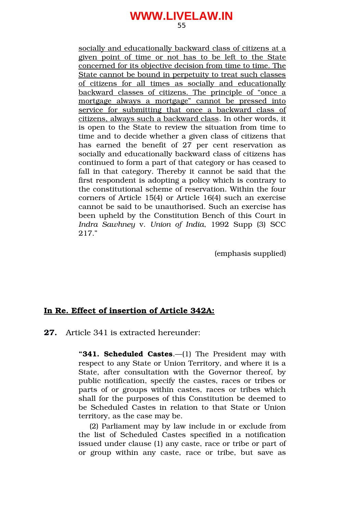55

socially and educationally backward class of citizens at a given point of time or not has to be left to the State concerned for its objective decision from time to time. The State cannot be bound in perpetuity to treat such classes of citizens for all times as socially and educationally backward classes of citizens. The principle of "once a mortgage always a mortgage" cannot be pressed into service for submitting that once a backward class of citizens, always such a backward class. In other words, it is open to the State to review the situation from time to time and to decide whether a given class of citizens that has earned the benefit of  $27$  per cent reservation as socially and educationally backward class of citizens has continued to form a part of that category or has ceased to fall in that category. Thereby it cannot be said that the first respondent is adopting a policy which is contrary to the constitutional scheme of reservation. Within the four corners of Article 15(4) or Article 16(4) such an exercise cannot be said to be unauthorised. Such an exercise has been upheld by the Constitution Bench of this Court in *Indra Sawhney* v. *Union of India*, 1992 Supp (3) SCC 217."

(emphasis supplied)

#### **In Re. Effect of insertion of Article 342A:**

**27.** Article 341 is extracted hereunder:

**"341. Scheduled Castes**.—(1) The President may with respect to any State or Union Territory, and where it is a State, after consultation with the Governor thereof, by public notification, specify the castes, races or tribes or parts of or groups within castes, races or tribes which shall for the purposes of this Constitution be deemed to be Scheduled Castes in relation to that State or Union territory, as the case may be.

(2) Parliament may by law include in or exclude from the list of Scheduled Castes specified in a notification issued under clause (1) any caste, race or tribe or part of or group within any caste, race or tribe, but save as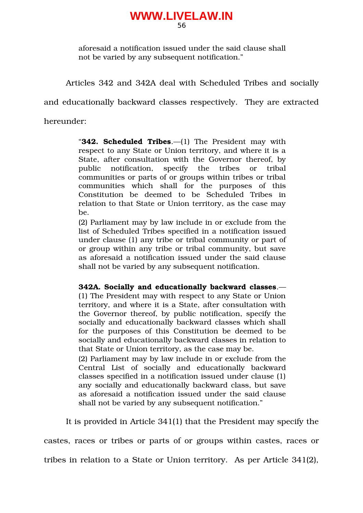aforesaid a notification issued under the said clause shall not be varied by any subsequent notification."

Articles 342 and 342A deal with Scheduled Tribes and socially

and educationally backward classes respectively. They are extracted

hereunder:

"**342. Scheduled Tribes**.—(1) The President may with respect to any State or Union territory, and where it is a State, after consultation with the Governor thereof, by public notification, specify the tribes or tribal communities or parts of or groups within tribes or tribal communities which shall for the purposes of this Constitution be deemed to be Scheduled Tribes in relation to that State or Union territory, as the case may be.

(2) Parliament may by law include in or exclude from the list of Scheduled Tribes specified in a notification issued under clause (1) any tribe or tribal community or part of or group within any tribe or tribal community, but save as aforesaid a notification issued under the said clause shall not be varied by any subsequent notification.

**342A. Socially and educationally backward classes**.— (1) The President may with respect to any State or Union territory, and where it is a State, after consultation with the Governor thereof, by public notification, specify the socially and educationally backward classes which shall for the purposes of this Constitution be deemed to be socially and educationally backward classes in relation to that State or Union territory, as the case may be.

(2) Parliament may by law include in or exclude from the Central List of socially and educationally backward classes specified in a notification issued under clause (1) any socially and educationally backward class, but save as aforesaid a notification issued under the said clause shall not be varied by any subsequent notification."

It is provided in Article 341(1) that the President may specify the

castes, races or tribes or parts of or groups within castes, races or

tribes in relation to a State or Union territory. As per Article 341(2),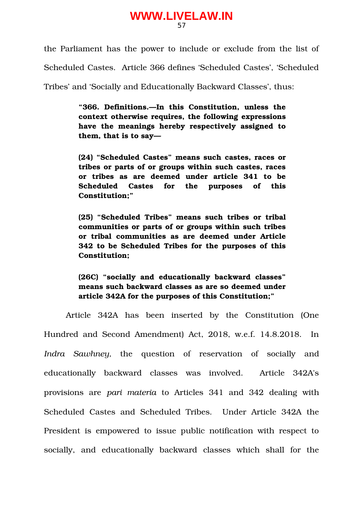the Parliament has the power to include or exclude from the list of

Scheduled Castes. Article 366 defines 'Scheduled Castes', 'Scheduled

Tribes' and 'Socially and Educationally Backward Classes', thus:

**"366. Definitions.—In this Constitution, unless the context otherwise requires, the following expressions have the meanings hereby respectively assigned to them, that is to say—**

**(24) "Scheduled Castes" means such castes, races or tribes or parts of or groups within such castes, races or tribes as are deemed under article 341 to be Scheduled Castes for the purposes of this Constitution;"**

**(25) "Scheduled Tribes" means such tribes or tribal communities or parts of or groups within such tribes or tribal communities as are deemed under Article 342 to be Scheduled Tribes for the purposes of this Constitution;**

**(26C) "socially and educationally backward classes" means such backward classes as are so deemed under article 342A for the purposes of this Constitution;"**

Article 342A has been inserted by the Constitution (One Hundred and Second Amendment) Act, 2018, w.e.f. 14.8.2018. In *Indra Sawhney*, the question of reservation of socially and educationally backward classes was involved. Article 342A's provisions are *pari materia* to Articles 341 and 342 dealing with Scheduled Castes and Scheduled Tribes. Under Article 342A the President is empowered to issue public notification with respect to socially, and educationally backward classes which shall for the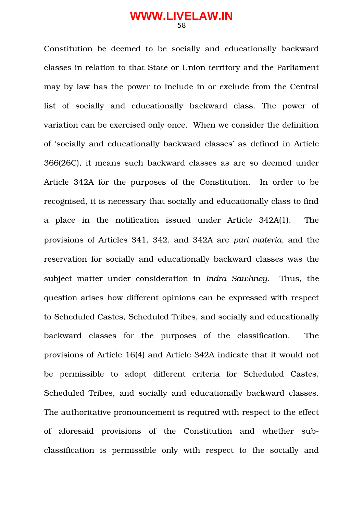Constitution be deemed to be socially and educationally backward classes in relation to that State or Union territory and the Parliament may by law has the power to include in or exclude from the Central list of socially and educationally backward class. The power of variation can be exercised only once. When we consider the definition of 'socially and educationally backward classes' as defined in Article 366(26C), it means such backward classes as are so deemed under Article 342A for the purposes of the Constitution. In order to be recognised, it is necessary that socially and educationally class to find a place in the notification issued under Article 342A(1). The provisions of Articles 341, 342, and 342A are *pari materia*, and the reservation for socially and educationally backward classes was the subject matter under consideration in *Indra Sawhney*. Thus, the question arises how different opinions can be expressed with respect to Scheduled Castes, Scheduled Tribes, and socially and educationally backward classes for the purposes of the classification. The provisions of Article 16(4) and Article 342A indicate that it would not be permissible to adopt different criteria for Scheduled Castes, Scheduled Tribes, and socially and educationally backward classes. The authoritative pronouncement is required with respect to the effect of aforesaid provisions of the Constitution and whether subclassification is permissible only with respect to the socially and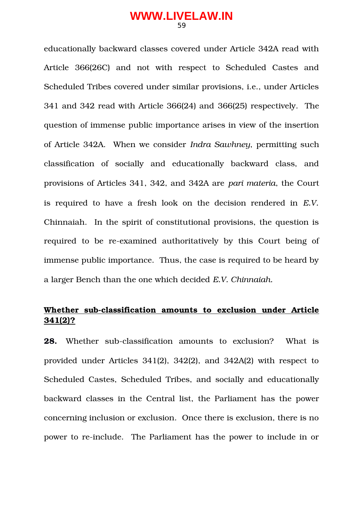educationally backward classes covered under Article 342A read with Article 366(26C) and not with respect to Scheduled Castes and Scheduled Tribes covered under similar provisions, i.e., under Articles 341 and 342 read with Article 366(24) and 366(25) respectively. The question of immense public importance arises in view of the insertion of Article 342A. When we consider *Indra Sawhney*, permitting such classification of socially and educationally backward class, and provisions of Articles 341, 342, and 342A are *pari materia*, the Court is required to have a fresh look on the decision rendered in *E.V.* Chinnaiah. In the spirit of constitutional provisions, the question is required to be re-examined authoritatively by this Court being of immense public importance. Thus, the case is required to be heard by a larger Bench than the one which decided *E.V. Chinnaiah.*

## Whether sub-classification amounts to exclusion under Article **341(2)?**

**28.** Whether sub-classification amounts to exclusion? What is provided under Articles 341(2), 342(2), and 342A(2) with respect to Scheduled Castes, Scheduled Tribes, and socially and educationally backward classes in the Central list, the Parliament has the power concerning inclusion or exclusion. Once there is exclusion, there is no power to re-include. The Parliament has the power to include in or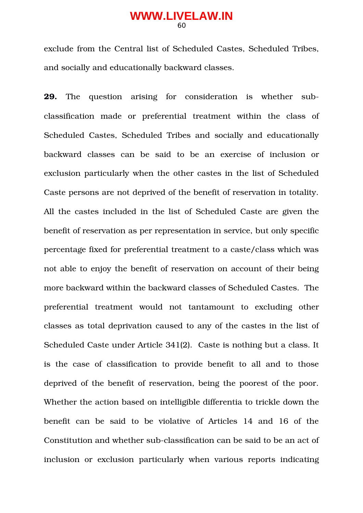exclude from the Central list of Scheduled Castes, Scheduled Tribes, and socially and educationally backward classes.

**29.** The question arising for consideration is whether subclassification made or preferential treatment within the class of Scheduled Castes, Scheduled Tribes and socially and educationally backward classes can be said to be an exercise of inclusion or exclusion particularly when the other castes in the list of Scheduled Caste persons are not deprived of the benefit of reservation in totality. All the castes included in the list of Scheduled Caste are given the benefit of reservation as per representation in service, but only specific percentage fixed for preferential treatment to a caste/class which was not able to enjoy the benefit of reservation on account of their being more backward within the backward classes of Scheduled Castes. The preferential treatment would not tantamount to excluding other classes as total deprivation caused to any of the castes in the list of Scheduled Caste under Article 341(2). Caste is nothing but a class. It is the case of classification to provide benefit to all and to those deprived of the benefit of reservation, being the poorest of the poor. Whether the action based on intelligible differentia to trickle down the benefit can be said to be violative of Articles 14 and 16 of the Constitution and whether sub-classification can be said to be an act of inclusion or exclusion particularly when various reports indicating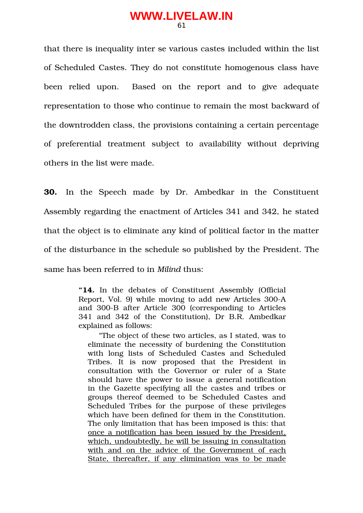that there is inequality inter se various castes included within the list of Scheduled Castes. They do not constitute homogenous class have been relied upon. Based on the report and to give adequate representation to those who continue to remain the most backward of the downtrodden class, the provisions containing a certain percentage of preferential treatment subject to availability without depriving others in the list were made.

**30.** In the Speech made by Dr. Ambedkar in the Constituent Assembly regarding the enactment of Articles 341 and 342, he stated that the object is to eliminate any kind of political factor in the matter of the disturbance in the schedule so published by the President. The same has been referred to in *Milind* thus:

> "14. In the debates of Constituent Assembly **Constitu** Report, Vol. 9) while moving to add new Articles 300A and 300-B after Article 300 (corresponding to Articles 341 and 342 of the Constitution), Dr B.R. Ambedkar explained as follows:

"The object of these two articles, as I stated, was to eliminate the necessity of burdening the Constitution with long lists of Scheduled Castes and Scheduled Tribes. It is now proposed that the President in consultation with the Governor or ruler of a State should have the power to issue a general notification in the Gazette specifying all the castes and tribes or groups thereof deemed to be Scheduled Castes and Scheduled Tribes for the purpose of these privileges which have been defined for them in the Constitution. The only limitation that has been imposed is this: that once a notification has been issued by the President, which, undoubtedly, he will be issuing in consultation with and on the advice of the Government of each State, thereafter, if any elimination was to be made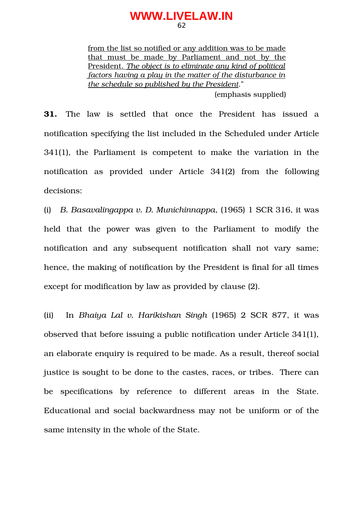from the list so notified or any addition was to be made that must be made by Parliament and not by the President. *The object is to eliminate any kind of political factors having a play in the matter of the disturbance in the schedule so published by the President*."

(emphasis supplied)

**31.** The law is settled that once the President has issued a notification specifying the list included in the Scheduled under Article  $341(1)$ , the Parliament is competent to make the variation in the notification as provided under Article 341(2) from the following decisions:

(i) *B. Basavalingappa v. D. Munichinnappa*, (1965) 1 SCR 316, it was held that the power was given to the Parliament to modify the notification and any subsequent notification shall not vary same; hence, the making of notification by the President is final for all times except for modification by law as provided by clause (2).

(ii) In *Bhaiya Lal v. Harikishan Singh* (1965) 2 SCR 877, it was observed that before issuing a public notification under Article 341(1), an elaborate enquiry is required to be made. As a result, thereof social justice is sought to be done to the castes, races, or tribes. There can be specifications by reference to different areas in the State. Educational and social backwardness may not be uniform or of the same intensity in the whole of the State.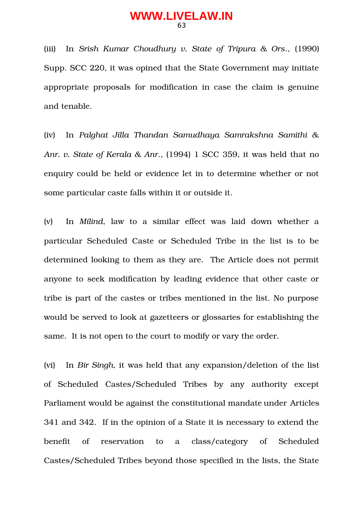(iii) In *Srish Kumar Choudhury v. State of Tripura & Ors*., (1990) Supp. SCC 220, it was opined that the State Government may initiate appropriate proposals for modification in case the claim is genuine and tenable.

(iv) In *Palghat Jilla Thandan Samudhaya Samrakshna Samithi & Anr. v. State of Kerala & Anr*., (1994) 1 SCC 359, it was held that no enquiry could be held or evidence let in to determine whether or not some particular caste falls within it or outside it.

(v) In *Milind*, law to a similar effect was laid down whether a particular Scheduled Caste or Scheduled Tribe in the list is to be determined looking to them as they are. The Article does not permit anyone to seek modification by leading evidence that other caste or tribe is part of the castes or tribes mentioned in the list. No purpose would be served to look at gazetteers or glossaries for establishing the same. It is not open to the court to modify or vary the order.

(vi) In *Bir Singh*, it was held that any expansion/deletion of the list of Scheduled Castes/Scheduled Tribes by any authority except Parliament would be against the constitutional mandate under Articles 341 and 342. If in the opinion of a State it is necessary to extend the benefit of reservation to a class/category of Scheduled Castes/Scheduled Tribes beyond those specified in the lists, the State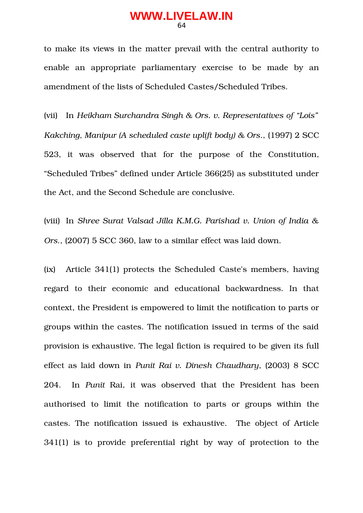to make its views in the matter prevail with the central authority to enable an appropriate parliamentary exercise to be made by an amendment of the lists of Scheduled Castes/Scheduled Tribes.

(vii) In *Heikham Surchandra Singh & Ors. v. Representatives of "Lois" Kakching, Manipur (A scheduled caste uplift body) & Ors*., (1997) 2 SCC 523, it was observed that for the purpose of the Constitution, "Scheduled Tribes" defined under Article 366(25) as substituted under the Act, and the Second Schedule are conclusive.

(viii) In *Shree Surat Valsad Jilla K.M.G. Parishad v. Union of India & Ors*., (2007) 5 SCC 360, law to a similar effect was laid down.

(ix) Article 341(1) protects the Scheduled Caste's members, having regard to their economic and educational backwardness. In that context, the President is empowered to limit the notification to parts or groups within the castes. The notification issued in terms of the said provision is exhaustive. The legal fiction is required to be given its full effect as laid down in *Punit Rai v. Dinesh Chaudhary*, (2003) 8 SCC 204. In *Punit Rai, it was observed that the President has been* authorised to limit the notification to parts or groups within the castes. The notification issued is exhaustive. The object of Article 341(1) is to provide preferential right by way of protection to the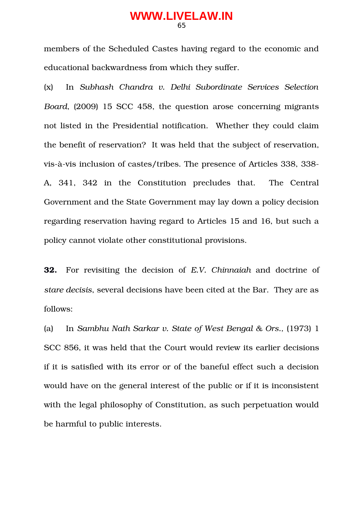members of the Scheduled Castes having regard to the economic and educational backwardness from which they suffer.

(x) In *Subhash Chandra v. Delhi Subordinate Services Selection Board*, (2009) 15 SCC 458, the question arose concerning migrants not listed in the Presidential notification. Whether they could claim the benefit of reservation? It was held that the subject of reservation, vis-à-vis inclusion of castes/tribes. The presence of Articles 338, 338-A, 341, 342 in the Constitution precludes that. The Central Government and the State Government may lay down a policy decision regarding reservation having regard to Articles 15 and 16, but such a policy cannot violate other constitutional provisions.

**32.** For revisiting the decision of *E.V. Chinnaiah* and doctrine of *stare decisis*, several decisions have been cited at the Bar. They are as follows:

(a) In *Sambhu Nath Sarkar v. State of West Bengal & Ors.,* (1973) 1 SCC 856, it was held that the Court would review its earlier decisions if it is satisfied with its error or of the baneful effect such a decision would have on the general interest of the public or if it is inconsistent with the legal philosophy of Constitution, as such perpetuation would be harmful to public interests.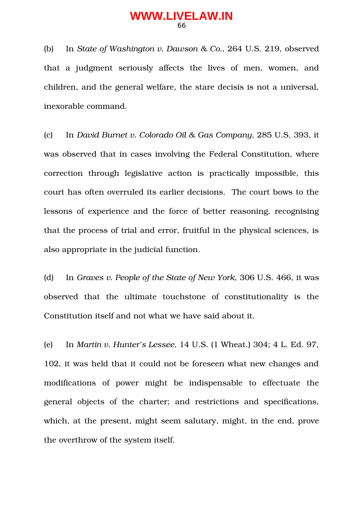(b) In *State of Washington v. Dawson & Co.,* 264 U.S. 219, observed that a judgment seriously affects the lives of men, women, and children, and the general welfare, the stare decisis is not a universal, inexorable command.

(c) In *David Burnet v. Colorado Oil & Gas Company,* 285 U.S. 393, it was observed that in cases involving the Federal Constitution, where correction through legislative action is practically impossible, this court has often overruled its earlier decisions. The court bows to the lessons of experience and the force of better reasoning, recognising that the process of trial and error, fruitful in the physical sciences, is also appropriate in the judicial function.

(d) In *Graves v. People of the State of New York,* 306 U.S. 466, it was observed that the ultimate touchstone of constitutionality is the Constitution itself and not what we have said about it.

(e) In *Martin v. Hunter's Lessee,* 14 U.S. (1 Wheat.) 304; 4 L. Ed. 97, 102, it was held that it could not be foreseen what new changes and modifications of power might be indispensable to effectuate the general objects of the charter; and restrictions and specifications, which, at the present, might seem salutary, might, in the end, prove the overthrow of the system itself.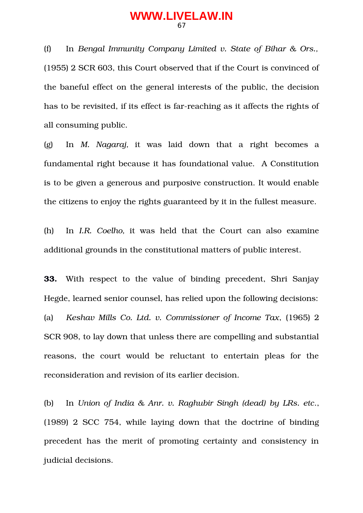(f) In *Bengal Immunity Company Limited v. State of Bihar & Ors.,* (1955) 2 SCR 603, this Court observed that if the Court is convinced of the baneful effect on the general interests of the public, the decision has to be revisited, if its effect is far-reaching as it affects the rights of all consuming public.

(g) In *M. Nagaraj,* it was laid down that a right becomes a fundamental right because it has foundational value. A Constitution is to be given a generous and purposive construction. It would enable the citizens to enjoy the rights guaranteed by it in the fullest measure.

(h) In *I.R. Coelho,* it was held that the Court can also examine additional grounds in the constitutional matters of public interest.

**33.** With respect to the value of binding precedent, Shri Sanjay Hegde, learned senior counsel, has relied upon the following decisions: (a) *Keshav Mills Co. Ltd. v. Commissioner of Income Tax*, (1965) 2 SCR 908, to lay down that unless there are compelling and substantial reasons, the court would be reluctant to entertain pleas for the reconsideration and revision of its earlier decision.

(b) In *Union of India & Anr. v. Raghubir Singh (dead) by LRs. etc*., (1989) 2 SCC 754, while laying down that the doctrine of binding precedent has the merit of promoting certainty and consistency in judicial decisions.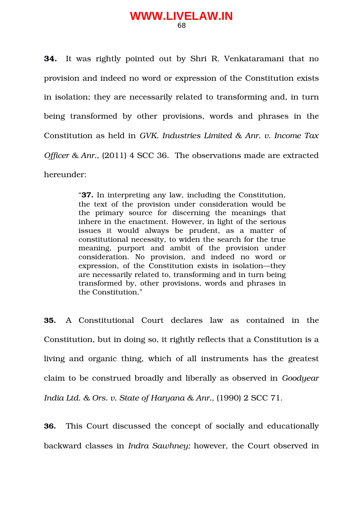**34.** It was rightly pointed out by Shri R. Venkataramani that no provision and indeed no word or expression of the Constitution exists in isolation; they are necessarily related to transforming and, in turn being transformed by other provisions, words and phrases in the Constitution as held in *GVK. Industries Limited & Anr. v. Income Tax Officer & Anr.,* (2011) 4 SCC 36. The observations made are extracted hereunder:

> "**37.** In interpreting any law, including the Constitution, the text of the provision under consideration would be the primary source for discerning the meanings that inhere in the enactment. However, in light of the serious issues it would always be prudent, as a matter of constitutional necessity, to widen the search for the true meaning, purport and ambit of the provision under consideration. No provision, and indeed no word or expression, of the Constitution exists in isolation—they are necessarily related to, transforming and in turn being transformed by, other provisions, words and phrases in the Constitution."

**35.** A Constitutional Court declares law as contained in the Constitution, but in doing so, it rightly reflects that a Constitution is a living and organic thing, which of all instruments has the greatest claim to be construed broadly and liberally as observed in *Goodyear India Ltd. & Ors. v. State of Haryana & Anr.,* (1990) 2 SCC 71.

**36.** This Court discussed the concept of socially and educationally backward classes in *Indra Sawhney;* however, the Court observed in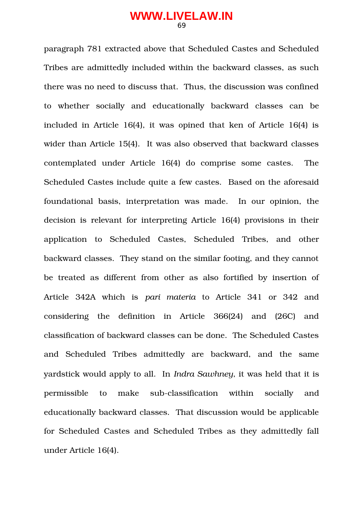paragraph 781 extracted above that Scheduled Castes and Scheduled Tribes are admittedly included within the backward classes, as such there was no need to discuss that. Thus, the discussion was confined to whether socially and educationally backward classes can be included in Article 16(4), it was opined that ken of Article 16(4) is wider than Article 15(4). It was also observed that backward classes contemplated under Article 16(4) do comprise some castes. The Scheduled Castes include quite a few castes. Based on the aforesaid foundational basis, interpretation was made. In our opinion, the decision is relevant for interpreting Article 16(4) provisions in their application to Scheduled Castes, Scheduled Tribes, and other backward classes. They stand on the similar footing, and they cannot be treated as different from other as also fortified by insertion of Article 342A which is *pari materia* to Article 341 or 342 and considering the definition in Article 366(24) and (26C) and classification of backward classes can be done. The Scheduled Castes and Scheduled Tribes admittedly are backward, and the same yardstick would apply to all. In *Indra Sawhney*, it was held that it is permissible to make sub-classification within socially and educationally backward classes. That discussion would be applicable for Scheduled Castes and Scheduled Tribes as they admittedly fall under Article 16(4).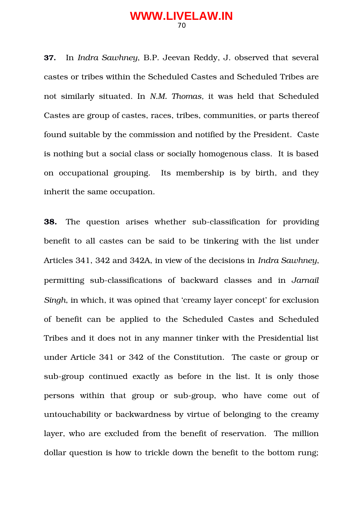**37.** In *Indra Sawhney*, B.P. Jeevan Reddy, J. observed that several castes or tribes within the Scheduled Castes and Scheduled Tribes are not similarly situated. In *N.M. Thomas,* it was held that Scheduled Castes are group of castes, races, tribes, communities, or parts thereof found suitable by the commission and notified by the President. Caste is nothing but a social class or socially homogenous class. It is based on occupational grouping. Its membership is by birth, and they inherit the same occupation.

**38.** The question arises whether sub-classification for providing benefit to all castes can be said to be tinkering with the list under Articles 341, 342 and 342A, in view of the decisions in *Indra Sawhney*, permitting sub-classifications of backward classes and in *Jarnail Singh*, in which, it was opined that 'creamy layer concept' for exclusion of benefit can be applied to the Scheduled Castes and Scheduled Tribes and it does not in any manner tinker with the Presidential list under Article 341 or 342 of the Constitution. The caste or group or sub-group continued exactly as before in the list. It is only those persons within that group or sub-group, who have come out of untouchability or backwardness by virtue of belonging to the creamy layer, who are excluded from the benefit of reservation. The million dollar question is how to trickle down the benefit to the bottom rung;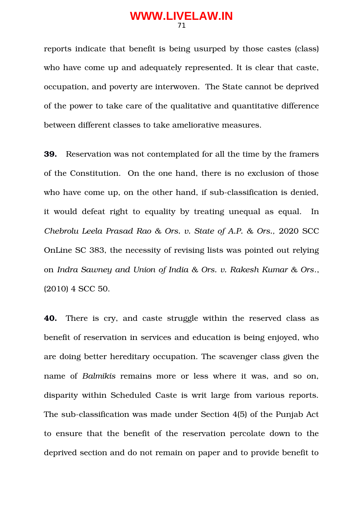reports indicate that benefit is being usurped by those castes (class) who have come up and adequately represented. It is clear that caste, occupation, and poverty are interwoven. The State cannot be deprived of the power to take care of the qualitative and quantitative difference between different classes to take ameliorative measures.

**39.** Reservation was not contemplated for all the time by the framers of the Constitution. On the one hand, there is no exclusion of those who have come up, on the other hand, if sub-classification is denied, it would defeat right to equality by treating unequal as equal. In *Chebrolu Leela Prasad Rao & Ors. v. State of A.P. & Ors.,* 2020 SCC OnLine SC 383, the necessity of revising lists was pointed out relying on *Indra Sawney and Union of India & Ors. v. Rakesh Kumar & Ors*., (2010) 4 SCC 50.

**40.** There is cry, and caste struggle within the reserved class as benefit of reservation in services and education is being enjoyed, who are doing better hereditary occupation. The scavenger class given the name of *Balmikis* remains more or less where it was, and so on, disparity within Scheduled Caste is writ large from various reports. The sub-classification was made under Section 4(5) of the Punjab Act to ensure that the benefit of the reservation percolate down to the deprived section and do not remain on paper and to provide benefit to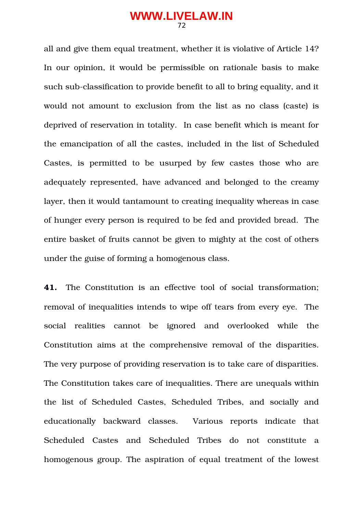all and give them equal treatment, whether it is violative of Article 14? In our opinion, it would be permissible on rationale basis to make such sub-classification to provide benefit to all to bring equality, and it would not amount to exclusion from the list as no class (caste) is deprived of reservation in totality. In case benefit which is meant for the emancipation of all the castes, included in the list of Scheduled Castes, is permitted to be usurped by few castes those who are adequately represented, have advanced and belonged to the creamy layer, then it would tantamount to creating inequality whereas in case of hunger every person is required to be fed and provided bread. The entire basket of fruits cannot be given to mighty at the cost of others under the guise of forming a homogenous class.

**41.** The Constitution is an effective tool of social transformation; removal of inequalities intends to wipe off tears from every eye. The social realities cannot be ignored and overlooked while the Constitution aims at the comprehensive removal of the disparities. The very purpose of providing reservation is to take care of disparities. The Constitution takes care of inequalities. There are unequals within the list of Scheduled Castes, Scheduled Tribes, and socially and educationally backward classes. Various reports indicate that Scheduled Castes and Scheduled Tribes do not constitute a homogenous group. The aspiration of equal treatment of the lowest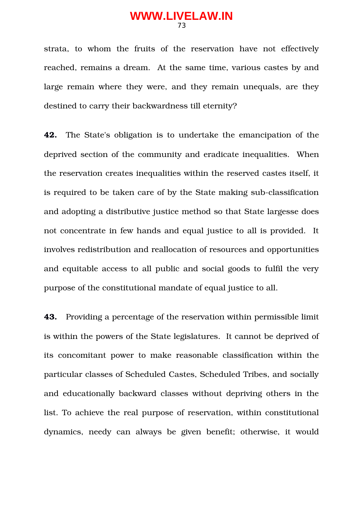strata, to whom the fruits of the reservation have not effectively reached, remains a dream. At the same time, various castes by and large remain where they were, and they remain unequals, are they destined to carry their backwardness till eternity?

**42.** The State's obligation is to undertake the emancipation of the deprived section of the community and eradicate inequalities. When the reservation creates inequalities within the reserved castes itself, it is required to be taken care of by the State making sub-classification and adopting a distributive justice method so that State largesse does not concentrate in few hands and equal justice to all is provided. It involves redistribution and reallocation of resources and opportunities and equitable access to all public and social goods to fulfil the very purpose of the constitutional mandate of equal justice to all.

**43.** Providing a percentage of the reservation within permissible limit is within the powers of the State legislatures. It cannot be deprived of its concomitant power to make reasonable classification within the particular classes of Scheduled Castes, Scheduled Tribes, and socially and educationally backward classes without depriving others in the list. To achieve the real purpose of reservation, within constitutional dynamics, needy can always be given benefit; otherwise, it would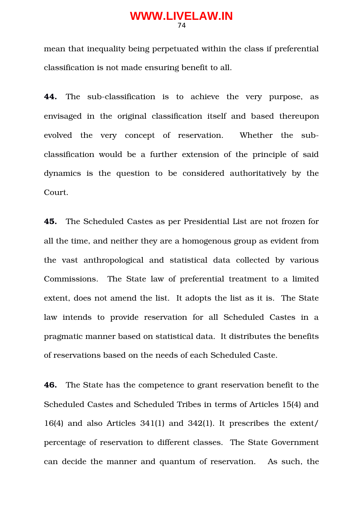mean that inequality being perpetuated within the class if preferential classification is not made ensuring benefit to all.

**44.** The sub-classification is to achieve the very purpose, as envisaged in the original classification itself and based thereupon evolved the very concept of reservation. Whether the subclassification would be a further extension of the principle of said dynamics is the question to be considered authoritatively by the Court.

**45.** The Scheduled Castes as per Presidential List are not frozen for all the time, and neither they are a homogenous group as evident from the vast anthropological and statistical data collected by various Commissions. The State law of preferential treatment to a limited extent, does not amend the list. It adopts the list as it is. The State law intends to provide reservation for all Scheduled Castes in a pragmatic manner based on statistical data. It distributes the benefits of reservations based on the needs of each Scheduled Caste.

**46.** The State has the competence to grant reservation benefit to the Scheduled Castes and Scheduled Tribes in terms of Articles 15(4) and 16(4) and also Articles 341(1) and 342(1). It prescribes the extent/ percentage of reservation to different classes. The State Government can decide the manner and quantum of reservation. As such, the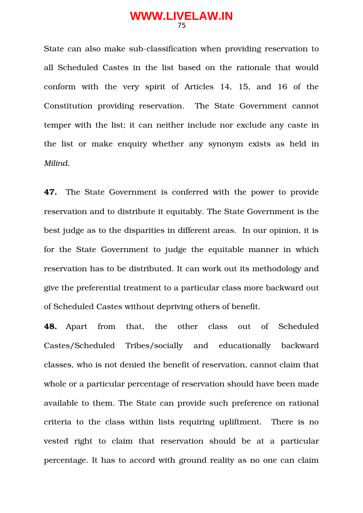State can also make sub-classification when providing reservation to all Scheduled Castes in the list based on the rationale that would conform with the very spirit of Articles 14, 15, and 16 of the Constitution providing reservation. The State Government cannot temper with the list; it can neither include nor exclude any caste in the list or make enquiry whether any synonym exists as held in *Milind.*

**47.** The State Government is conferred with the power to provide reservation and to distribute it equitably. The State Government is the best judge as to the disparities in different areas. In our opinion, it is for the State Government to judge the equitable manner in which reservation has to be distributed. It can work out its methodology and give the preferential treatment to a particular class more backward out of Scheduled Castes without depriving others of benefit.

**48.** Apart from that, the other class out of Scheduled Castes/Scheduled Tribes/socially and educationally backward classes, who is not denied the benefit of reservation, cannot claim that whole or a particular percentage of reservation should have been made available to them. The State can provide such preference on rational criteria to the class within lists requiring upliftment. There is no vested right to claim that reservation should be at a particular percentage. It has to accord with ground reality as no one can claim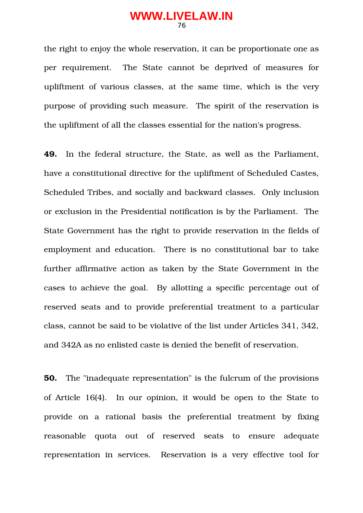the right to enjoy the whole reservation, it can be proportionate one as per requirement. The State cannot be deprived of measures for upliftment of various classes, at the same time, which is the very purpose of providing such measure. The spirit of the reservation is the upliftment of all the classes essential for the nation's progress.

**49.** In the federal structure, the State, as well as the Parliament, have a constitutional directive for the upliftment of Scheduled Castes, Scheduled Tribes, and socially and backward classes. Only inclusion or exclusion in the Presidential notification is by the Parliament. The State Government has the right to provide reservation in the fields of employment and education. There is no constitutional bar to take further affirmative action as taken by the State Government in the cases to achieve the goal. By allotting a specific percentage out of reserved seats and to provide preferential treatment to a particular class, cannot be said to be violative of the list under Articles 341, 342, and 342A as no enlisted caste is denied the benefit of reservation.

**50.** The "inadequate representation" is the fulcrum of the provisions of Article 16(4). In our opinion, it would be open to the State to provide on a rational basis the preferential treatment by fixing reasonable quota out of reserved seats to ensure adequate representation in services. Reservation is a very effective tool for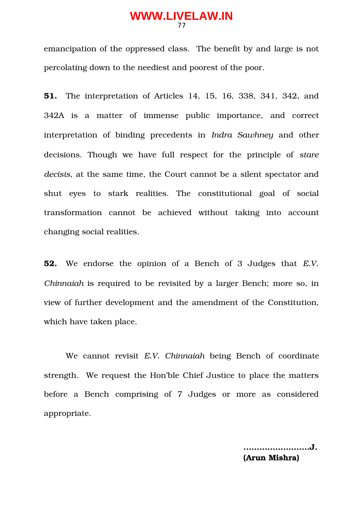emancipation of the oppressed class. The benefit by and large is not percolating down to the neediest and poorest of the poor.

**51.** The interpretation of Articles 14, 15, 16, 338, 341, 342, and 342A is a matter of immense public importance, and correct interpretation of binding precedents in *Indra Sawhney* and other decisions. Though we have full respect for the principle of *stare decisis*, at the same time, the Court cannot be a silent spectator and shut eyes to stark realities. The constitutional goal of social transformation cannot be achieved without taking into account changing social realities.

**52.** We endorse the opinion of a Bench of 3 Judges that *E.V. Chinnaiah* is required to be revisited by a larger Bench; more so, in view of further development and the amendment of the Constitution, which have taken place.

We cannot revisit *E.V.* Chinnaiah being Bench of coordinate strength. We request the Hon'ble Chief Justice to place the matters before a Bench comprising of 7 Judges or more as considered appropriate.

> **...………………….J. (Arun Mishra)**